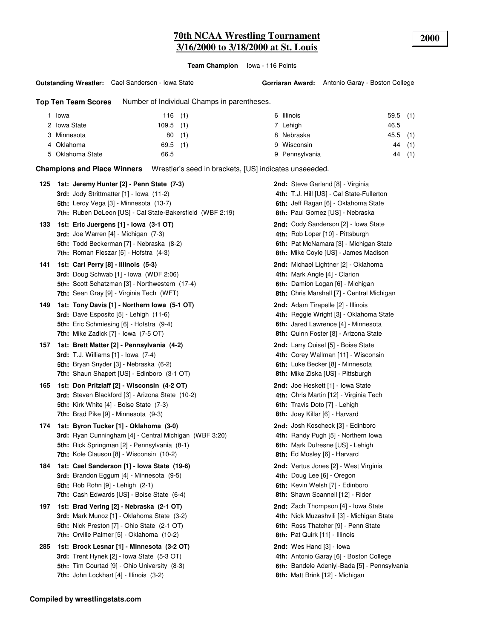**Team Champion** Iowa - 116 Points

**Outstanding Wrestler:** Cael Sanderson - Iowa State

**Top Ten Team Scores** Number of Individual Champs in parentheses.

| Iowa             | 116(1)      | 6 Illinois     | $59.5$ (1) |
|------------------|-------------|----------------|------------|
| 2 Iowa State     | $109.5$ (1) | 7 Lehigh       | 46.5       |
| 3 Minnesota      | 80<br>(1)   | 8 Nebraska     | $45.5$ (1) |
| 4 Oklahoma       | $69.5$ (1)  | 9 Wisconsin    | 44 (1)     |
| 5 Oklahoma State | 66.5        | 9 Pennsylvania | (1)<br>44  |

**Champions and Place Winners** Wrestler's seed in brackets, [US] indicates unseeeded.

| 125 | 1st: Jeremy Hunter [2] - Penn State (7-3)<br>3rd: Jody Strittmatter [1] - Iowa (11-2)<br><b>5th:</b> Leroy Vega [3] - Minnesota (13-7)<br>7th: Ruben DeLeon [US] - Cal State-Bakersfield (WBF 2:19)   | <b>2nd:</b> Steve Garland [8] - Virginia<br>4th: T.J. Hill [US] - Cal State-Fullerton<br>6th: Jeff Ragan [6] - Oklahoma State<br>8th: Paul Gomez [US] - Nebraska     |
|-----|-------------------------------------------------------------------------------------------------------------------------------------------------------------------------------------------------------|----------------------------------------------------------------------------------------------------------------------------------------------------------------------|
| 133 | 1st: Eric Juergens [1] - Iowa (3-1 OT)<br><b>3rd:</b> Joe Warren [4] - Michigan (7-3)<br>5th: Todd Beckerman [7] - Nebraska (8-2)<br>7th: Roman Fleszar [5] - Hofstra (4-3)                           | 2nd: Cody Sanderson [2] - Iowa State<br>4th: Rob Loper [10] - Pittsburgh<br>6th: Pat McNamara [3] - Michigan State<br>8th: Mike Coyle [US] - James Madison           |
| 141 | 1st: Carl Perry [8] - Illinois (5-3)<br><b>3rd:</b> Doug Schwab [1] - Iowa (WDF 2:06)<br>5th: Scott Schatzman [3] - Northwestern (17-4)<br>7th: Sean Gray [9] - Virginia Tech (WFT)                   | <b>2nd:</b> Michael Lightner [2] - Oklahoma<br>4th: Mark Angle [4] - Clarion<br>6th: Damion Logan [6] - Michigan<br>8th: Chris Marshall [7] - Central Michigan       |
| 149 | 1st: Tony Davis [1] - Northern Iowa (5-1 OT)<br><b>3rd:</b> Dave Esposito $[5]$ - Lehigh $(11-6)$<br><b>5th:</b> Eric Schmiesing [6] - Hofstra (9-4)<br>7th: Mike Zadick $[7]$ - lowa $(7-5$ OT)      | <b>2nd:</b> Adam Tirapelle [2] - Illinois<br>4th: Reggie Wright [3] - Oklahoma State<br>6th: Jared Lawrence [4] - Minnesota<br>8th: Quinn Foster [8] - Arizona State |
| 157 | 1st: Brett Matter [2] - Pennsylvania (4-2)<br><b>3rd:</b> T.J. Williams [1] - Iowa (7-4)<br>5th: Bryan Snyder [3] - Nebraska (6-2)<br>7th: Shaun Shapert [US] - Edinboro (3-1 OT)                     | 2nd: Larry Quisel [5] - Boise State<br>4th: Corey Wallman [11] - Wisconsin<br>6th: Luke Becker [8] - Minnesota<br><b>8th:</b> Mike Ziska [US] - Pittsburgh           |
| 165 | 1st: Don Pritzlaff [2] - Wisconsin (4-2 OT)<br>3rd: Steven Blackford [3] - Arizona State (10-2)<br><b>5th:</b> Kirk White [4] - Boise State (7-3)<br><b>7th:</b> Brad Pike [9] - Minnesota (9-3)      | <b>2nd:</b> Joe Heskett [1] - Iowa State<br>4th: Chris Martin [12] - Virginia Tech<br>6th: Travis Doto [7] - Lehigh<br>8th: Joey Killar [6] - Harvard                |
| 174 | 1st: Byron Tucker [1] - Oklahoma (3-0)<br>3rd: Ryan Cunningham [4] - Central Michigan (WBF 3:20)<br>5th: Rick Springman [2] - Pennsylvania (8-1)<br>7th: Kole Clauson [8] - Wisconsin (10-2)          | 2nd: Josh Koscheck [3] - Edinboro<br>4th: Randy Pugh [5] - Northern Iowa<br>6th: Mark Dufresne [US] - Lehigh<br>8th: Ed Mosley [6] - Harvard                         |
| 184 | 1st: Cael Sanderson [1] - Iowa State (19-6)<br><b>3rd:</b> Brandon Eggum [4] - Minnesota (9-5)<br><b>5th:</b> Rob Rohn [9] - Lehigh (2-1)<br>7th: Cash Edwards [US] - Boise State (6-4)               | 2nd: Vertus Jones [2] - West Virginia<br>4th: Doug Lee [6] - Oregon<br>6th: Kevin Welsh [7] - Edinboro<br>8th: Shawn Scannell [12] - Rider                           |
| 197 | 1st: Brad Vering [2] - Nebraska (2-1 OT)<br>3rd: Mark Munoz [1] - Oklahoma State (3-2)<br>5th: Nick Preston [7] - Ohio State (2-1 OT)<br>7th: Orville Palmer [5] - Oklahoma (10-2)                    | 2nd: Zach Thompson [4] - Iowa State<br>4th: Nick Muzashvili [3] - Michigan State<br>6th: Ross Thatcher [9] - Penn State<br>8th: Pat Quirk [11] - Illinois            |
| 285 | 1st: Brock Lesnar [1] - Minnesota (3-2 OT)<br>3rd: Trent Hynek [2] - Iowa State (5-3 OT)<br><b>5th:</b> Tim Courtad [9] - Ohio University (8-3)<br><b>7th:</b> John Lockhart $[4]$ - Illinois $(3-2)$ | 2nd: Wes Hand [3] - Iowa<br>4th: Antonio Garay [6] - Boston College<br>6th: Bandele Adeniyi-Bada [5] - Pennsylvania<br>8th: Matt Brink [12] - Michigan               |
|     |                                                                                                                                                                                                       |                                                                                                                                                                      |

**Compiled by wrestlingstats.com**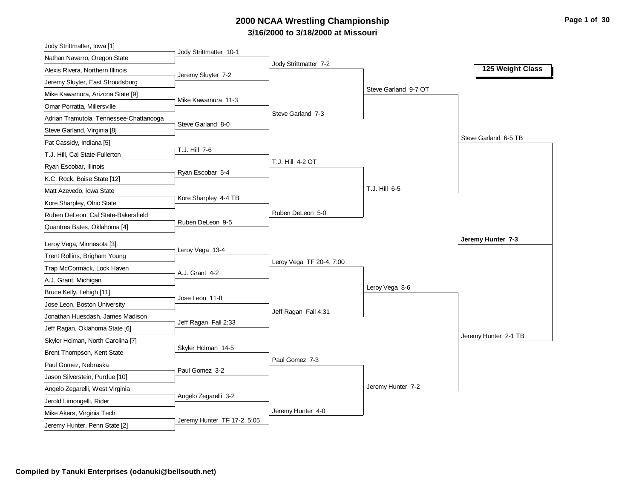# **3/16/2000 to 3/18/2000 at Missouri 2000 NCAA Wrestling Championship Page 1 of 30**

| Jody Strittmatter, Iowa [1]                                |                             |                          |                      |                      |
|------------------------------------------------------------|-----------------------------|--------------------------|----------------------|----------------------|
| Nathan Navarro, Oregon State                               | Jody Strittmatter 10-1      | Jody Strittmatter 7-2    |                      |                      |
| Alexis Rivera, Northern Illinois                           | Jeremy Sluyter 7-2          |                          |                      | 125 Weight Class     |
| Jeremy Sluyter, East Stroudsburg                           |                             |                          |                      |                      |
| Mike Kawamura, Arizona State [9]                           |                             |                          | Steve Garland 9-7 OT |                      |
| Omar Porratta, Millersville                                | Mike Kawamura 11-3          |                          |                      |                      |
| Adrian Tramutola, Tennessee-Chattanooga                    | Steve Garland 8-0           | Steve Garland 7-3        |                      |                      |
| Steve Garland, Virginia [8]                                |                             |                          |                      |                      |
| Pat Cassidy, Indiana [5]                                   |                             |                          |                      | Steve Garland 6-5 TB |
| T.J. Hill, Cal State-Fullerton                             | T.J. Hill 7-6               |                          |                      |                      |
| Ryan Escobar, Illinois                                     | Ryan Escobar 5-4            | T.J. Hill 4-2 OT         |                      |                      |
| K.C. Rock, Boise State [12]                                |                             |                          |                      |                      |
| Matt Azevedo, Iowa State                                   |                             |                          | T.J. Hill 6-5        |                      |
| Kore Sharpley, Ohio State                                  | Kore Sharpley 4-4 TB        |                          |                      |                      |
| Ruben DeLeon, Cal State-Bakersfield                        |                             | Ruben DeLeon 5-0         |                      |                      |
| Quantres Bates, Oklahoma [4]                               | Ruben DeLeon 9-5            |                          |                      |                      |
| Leroy Vega, Minnesota [3]                                  |                             |                          |                      | Jeremy Hunter 7-3    |
| Trent Rollins, Brigham Young                               | Leroy Vega 13-4             |                          |                      |                      |
| Trap McCormack, Lock Haven                                 |                             | Leroy Vega TF 20-4, 7:00 |                      |                      |
| A.J. Grant, Michigan                                       | A.J. Grant 4-2              |                          |                      |                      |
| Bruce Kelly, Lehigh [11]                                   |                             |                          | Leroy Vega 8-6       |                      |
| Jose Leon, Boston University                               | Jose Leon 11-8              |                          |                      |                      |
| Jonathan Huesdash, James Madison                           |                             | Jeff Ragan Fall 4:31     |                      |                      |
| Jeff Ragan, Oklahoma State [6]                             | Jeff Ragan Fall 2:33        |                          |                      |                      |
| Skyler Holman, North Carolina [7]                          |                             |                          |                      | Jeremy Hunter 2-1 TB |
| Brent Thompson, Kent State                                 | Skyler Holman 14-5          |                          |                      |                      |
| Paul Gomez, Nebraska                                       |                             | Paul Gomez 7-3           |                      |                      |
|                                                            |                             |                          |                      |                      |
|                                                            | Paul Gomez 3-2              |                          |                      |                      |
| Jason Silverstein, Purdue [10]                             |                             |                          |                      |                      |
| Angelo Zegarelli, West Virginia                            | Angelo Zegarelli 3-2        |                          | Jeremy Hunter 7-2    |                      |
| Jerold Limongelli, Rider                                   |                             |                          |                      |                      |
| Mike Akers, Virginia Tech<br>Jeremy Hunter, Penn State [2] | Jeremy Hunter TF 17-2, 5:05 | Jeremy Hunter 4-0        |                      |                      |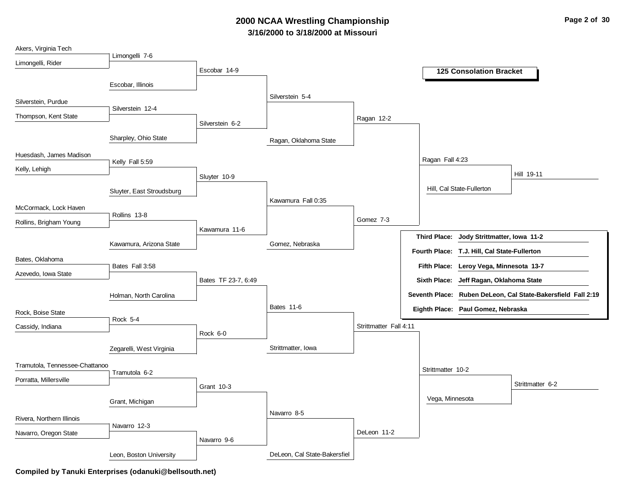# **3/16/2000 to 3/18/2000 at Missouri 2000 NCAA Wrestling Championship Page 2 of 30**

| Akers, Virginia Tech           |                           |                     |                              |                        |                     |                                              |                                                              |
|--------------------------------|---------------------------|---------------------|------------------------------|------------------------|---------------------|----------------------------------------------|--------------------------------------------------------------|
| Limongelli, Rider              | Limongelli 7-6            |                     |                              |                        |                     |                                              |                                                              |
|                                |                           | Escobar 14-9        |                              |                        |                     | <b>125 Consolation Bracket</b>               |                                                              |
|                                | Escobar, Illinois         |                     |                              |                        |                     |                                              |                                                              |
|                                |                           |                     | Silverstein 5-4              |                        |                     |                                              |                                                              |
| Silverstein, Purdue            |                           |                     |                              |                        |                     |                                              |                                                              |
| Thompson, Kent State           | Silverstein 12-4          |                     |                              | Ragan 12-2             |                     |                                              |                                                              |
|                                |                           | Silverstein 6-2     |                              |                        |                     |                                              |                                                              |
|                                | Sharpley, Ohio State      |                     | Ragan, Oklahoma State        |                        |                     |                                              |                                                              |
|                                |                           |                     |                              |                        |                     |                                              |                                                              |
| Huesdash, James Madison        | Kelly Fall 5:59           |                     |                              |                        | Ragan Fall 4:23     |                                              |                                                              |
| Kelly, Lehigh                  |                           |                     |                              |                        |                     |                                              | Hill 19-11                                                   |
|                                |                           | Sluyter 10-9        |                              |                        |                     |                                              |                                                              |
|                                | Sluyter, East Stroudsburg |                     |                              |                        |                     | Hill, Cal State-Fullerton                    |                                                              |
| McCormack, Lock Haven          |                           |                     | Kawamura Fall 0:35           |                        |                     |                                              |                                                              |
|                                | Rollins 13-8              |                     |                              | Gomez 7-3              |                     |                                              |                                                              |
| Rollins, Brigham Young         |                           | Kawamura 11-6       |                              |                        |                     |                                              |                                                              |
|                                |                           |                     |                              |                        | <b>Third Place:</b> | Jody Strittmatter, Iowa 11-2                 |                                                              |
|                                | Kawamura, Arizona State   |                     | Gomez, Nebraska              |                        |                     | Fourth Place: T.J. Hill, Cal State-Fullerton |                                                              |
| Bates, Oklahoma                |                           |                     |                              |                        |                     |                                              |                                                              |
| Azevedo, Iowa State            | Bates Fall 3:58           |                     |                              |                        |                     | Fifth Place: Leroy Vega, Minnesota 13-7      |                                                              |
|                                |                           | Bates TF 23-7, 6:49 |                              |                        | <b>Sixth Place:</b> | Jeff Ragan, Oklahoma State                   |                                                              |
|                                | Holman, North Carolina    |                     |                              |                        |                     |                                              | Seventh Place: Ruben DeLeon, Cal State-Bakersfield Fall 2:19 |
| Rock, Boise State              |                           |                     | Bates 11-6                   |                        |                     | Eighth Place: Paul Gomez, Nebraska           |                                                              |
|                                | Rock 5-4                  |                     |                              |                        |                     |                                              |                                                              |
| Cassidy, Indiana               |                           | Rock 6-0            |                              | Strittmatter Fall 4:11 |                     |                                              |                                                              |
|                                |                           |                     |                              |                        |                     |                                              |                                                              |
|                                | Zegarelli, West Virginia  |                     | Strittmatter, Iowa           |                        |                     |                                              |                                                              |
| Tramutola, Tennessee-Chattanoo |                           |                     |                              |                        |                     |                                              |                                                              |
| Porratta, Millersville         | Tramutola 6-2             |                     |                              |                        | Strittmatter 10-2   |                                              |                                                              |
|                                |                           | Grant 10-3          |                              |                        |                     |                                              | Strittmatter 6-2                                             |
|                                | Grant, Michigan           |                     |                              |                        | Vega, Minnesota     |                                              |                                                              |
|                                |                           |                     | Navarro 8-5                  |                        |                     |                                              |                                                              |
| Rivera, Northern Illinois      |                           |                     |                              |                        |                     |                                              |                                                              |
| Navarro, Oregon State          | Navarro 12-3              |                     |                              | DeLeon 11-2            |                     |                                              |                                                              |
|                                |                           | Navarro 9-6         |                              |                        |                     |                                              |                                                              |
|                                | Leon, Boston University   |                     | DeLeon, Cal State-Bakersfiel |                        |                     |                                              |                                                              |
|                                |                           |                     |                              |                        |                     |                                              |                                                              |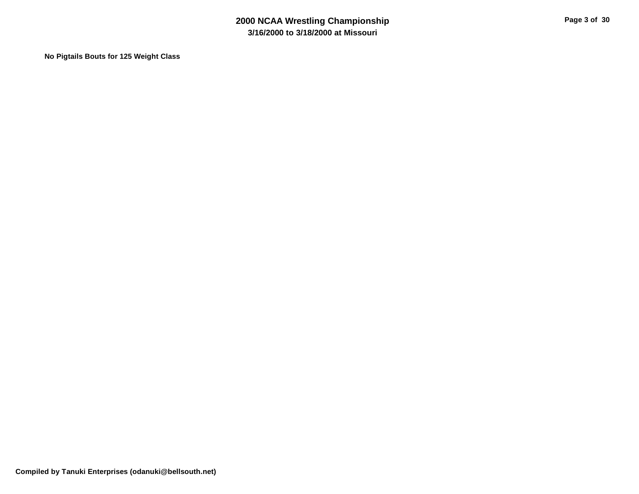**No Pigtails Bouts for 125 Weight Class**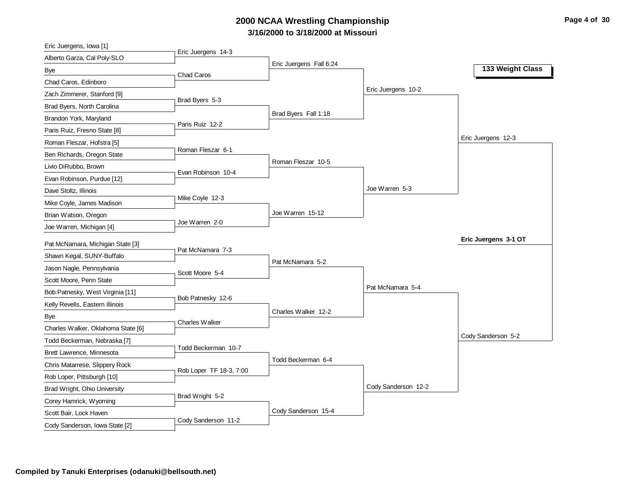# **3/16/2000 to 3/18/2000 at Missouri 2000 NCAA Wrestling Championship Page 4 of 30**

| Eric Juergens, Iowa [1]            |                         |                         |                     |                      |
|------------------------------------|-------------------------|-------------------------|---------------------|----------------------|
| Alberto Garza, Cal Poly-SLO        | Eric Juergens 14-3      | Eric Juergens Fall 6:24 |                     |                      |
| Bye                                | <b>Chad Caros</b>       |                         |                     | 133 Weight Class     |
| Chad Caros, Edinboro               |                         |                         |                     |                      |
| Zach Zimmerer, Stanford [9]        |                         |                         | Eric Juergens 10-2  |                      |
| Brad Byers, North Carolina         | Brad Byers 5-3          |                         |                     |                      |
| Brandon York, Maryland             |                         | Brad Byers Fall 1:18    |                     |                      |
| Paris Ruiz, Fresno State [8]       | Paris Ruiz 12-2         |                         |                     |                      |
| Roman Fleszar, Hofstra [5]         |                         |                         |                     | Eric Juergens 12-3   |
| Ben Richards, Oregon State         | Roman Fleszar 6-1       |                         |                     |                      |
| Livio DiRubbo, Brown               |                         | Roman Fleszar 10-5      |                     |                      |
| Evan Robinson, Purdue [12]         | Evan Robinson 10-4      |                         |                     |                      |
| Dave Stoltz, Illinois              |                         |                         | Joe Warren 5-3      |                      |
| Mike Coyle, James Madison          | Mike Coyle 12-3         |                         |                     |                      |
| Brian Watson, Oregon               |                         | Joe Warren 15-12        |                     |                      |
| Joe Warren, Michigan [4]           | Joe Warren 2-0          |                         |                     |                      |
| Pat McNamara, Michigan State [3]   |                         |                         |                     | Eric Juergens 3-1 OT |
| Shawn Kegal, SUNY-Buffalo          | Pat McNamara 7-3        |                         |                     |                      |
| Jason Nagle, Pennsylvania          |                         | Pat McNamara 5-2        |                     |                      |
| Scott Moore, Penn State            | Scott Moore 5-4         |                         |                     |                      |
|                                    |                         |                         | Pat McNamara 5-4    |                      |
| Bob Patnesky, West Virginia [11]   | Bob Patnesky 12-6       |                         |                     |                      |
| Kelly Revells, Eastern Illinois    |                         | Charles Walker 12-2     |                     |                      |
| Bye                                | <b>Charles Walker</b>   |                         |                     |                      |
| Charles Walker, Oklahoma State [6] |                         |                         |                     | Cody Sanderson 5-2   |
| Todd Beckerman, Nebraska [7]       | Todd Beckerman 10-7     |                         |                     |                      |
| Brett Lawrence, Minnesota          |                         | Todd Beckerman 6-4      |                     |                      |
| Chris Matarrese, Slippery Rock     | Rob Loper TF 18-3, 7:00 |                         |                     |                      |
| Rob Loper, Pittsburgh [10]         |                         |                         | Cody Sanderson 12-2 |                      |
| Brad Wright, Ohio University       | Brad Wright 5-2         |                         |                     |                      |
| Corey Hamrick, Wyoming             |                         | Cody Sanderson 15-4     |                     |                      |
| Scott Bair, Lock Haven             |                         |                         |                     |                      |
| Cody Sanderson, Iowa State [2]     | Cody Sanderson 11-2     |                         |                     |                      |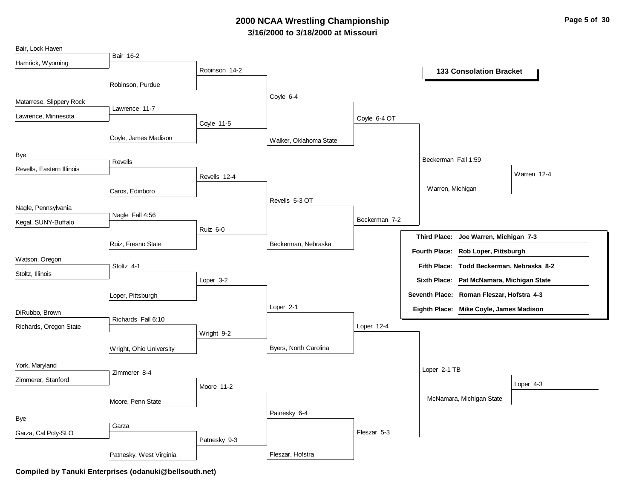# **3/16/2000 to 3/18/2000 at Missouri 2000 NCAA Wrestling Championship Page 5 of 30**

| Bair, Lock Haven          |                         |               |                        |               |                                     |                                           |
|---------------------------|-------------------------|---------------|------------------------|---------------|-------------------------------------|-------------------------------------------|
| Hamrick, Wyoming          | Bair 16-2               |               |                        |               |                                     |                                           |
|                           |                         | Robinson 14-2 |                        |               |                                     | <b>133 Consolation Bracket</b>            |
|                           | Robinson, Purdue        |               |                        |               |                                     |                                           |
|                           |                         |               | Coyle 6-4              |               |                                     |                                           |
| Matarrese, Slippery Rock  | Lawrence 11-7           |               |                        |               |                                     |                                           |
| Lawrence, Minnesota       |                         |               |                        | Coyle 6-4 OT  |                                     |                                           |
|                           |                         | Coyle 11-5    |                        |               |                                     |                                           |
|                           | Coyle, James Madison    |               | Walker, Oklahoma State |               |                                     |                                           |
| Bye                       |                         |               |                        |               |                                     |                                           |
| Revells, Eastern Illinois | Revells                 |               |                        |               | Beckerman Fall 1:59                 |                                           |
|                           |                         | Revells 12-4  |                        |               |                                     | Warren 12-4                               |
|                           | Caros, Edinboro         |               |                        |               | Warren, Michigan                    |                                           |
|                           |                         |               | Revells 5-3 OT         |               |                                     |                                           |
| Nagle, Pennsylvania       | Nagle Fall 4:56         |               |                        |               |                                     |                                           |
| Kegal, SUNY-Buffalo       |                         |               |                        | Beckerman 7-2 |                                     |                                           |
|                           |                         | Ruiz 6-0      |                        |               | <b>Third Place:</b>                 | Joe Warren, Michigan 7-3                  |
|                           | Ruiz, Fresno State      |               | Beckerman, Nebraska    |               | Fourth Place: Rob Loper, Pittsburgh |                                           |
| Watson, Oregon            |                         |               |                        |               |                                     |                                           |
| Stoltz, Illinois          | Stoltz 4-1              |               |                        |               |                                     | Fifth Place: Todd Beckerman, Nebraska 8-2 |
|                           |                         | Loper 3-2     |                        |               | <b>Sixth Place:</b>                 | Pat McNamara, Michigan State              |
|                           | Loper, Pittsburgh       |               |                        |               |                                     | Seventh Place: Roman Fleszar, Hofstra 4-3 |
|                           |                         |               | Loper 2-1              |               |                                     | Eighth Place: Mike Coyle, James Madison   |
| DiRubbo, Brown            | Richards Fall 6:10      |               |                        |               |                                     |                                           |
| Richards, Oregon State    |                         | Wright 9-2    |                        | Loper 12-4    |                                     |                                           |
|                           |                         |               |                        |               |                                     |                                           |
|                           | Wright, Ohio University |               | Byers, North Carolina  |               |                                     |                                           |
| York, Maryland            |                         |               |                        |               | Loper 2-1 TB                        |                                           |
| Zimmerer, Stanford        | Zimmerer 8-4            |               |                        |               |                                     |                                           |
|                           |                         | Moore 11-2    |                        |               |                                     | Loper $4-3$                               |
|                           | Moore, Penn State       |               |                        |               | McNamara, Michigan State            |                                           |
|                           |                         |               | Patnesky 6-4           |               |                                     |                                           |
| Bye                       | Garza                   |               |                        |               |                                     |                                           |
| Garza, Cal Poly-SLO       |                         | Patnesky 9-3  |                        | Fleszar 5-3   |                                     |                                           |
|                           |                         |               |                        |               |                                     |                                           |
|                           | Patnesky, West Virginia |               | Fleszar, Hofstra       |               |                                     |                                           |

**Compiled by Tanuki Enterprises (odanuki@bellsouth.net)**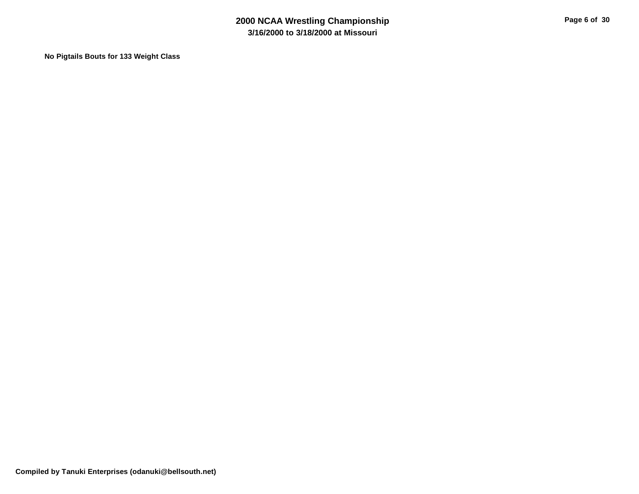**No Pigtails Bouts for 133 Weight Class**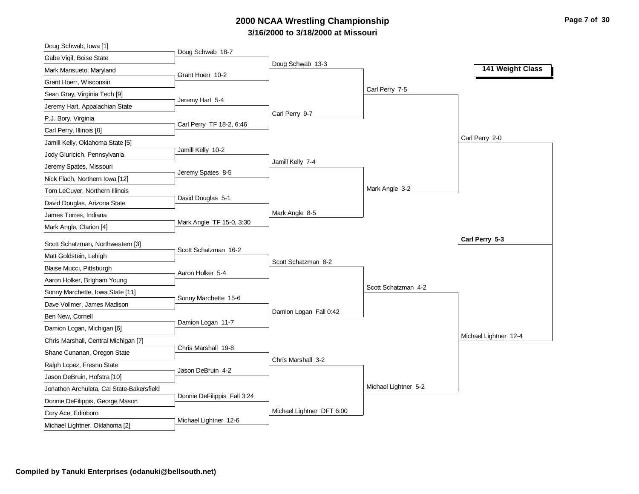# **3/16/2000 to 3/18/2000 at Missouri 2000 NCAA Wrestling Championship Page 7 of 30**

| Doug Schwab, Iowa [1]                     | Doug Schwab 18-7            |                           |                      |                       |
|-------------------------------------------|-----------------------------|---------------------------|----------------------|-----------------------|
| Gabe Vigil, Boise State                   |                             | Doug Schwab 13-3          |                      |                       |
| Mark Mansueto, Maryland                   | Grant Hoerr 10-2            |                           |                      | 141 Weight Class      |
| Grant Hoerr, Wisconsin                    |                             |                           |                      |                       |
| Sean Gray, Virginia Tech [9]              |                             |                           | Carl Perry 7-5       |                       |
| Jeremy Hart, Appalachian State            | Jeremy Hart 5-4             |                           |                      |                       |
| P.J. Bory, Virginia                       |                             | Carl Perry 9-7            |                      |                       |
| Carl Perry, Illinois [8]                  | Carl Perry TF 18-2, 6:46    |                           |                      |                       |
| Jamill Kelly, Oklahoma State [5]          |                             |                           |                      | Carl Perry 2-0        |
| Jody Giuricich, Pennsylvania              | Jamill Kelly 10-2           |                           |                      |                       |
| Jeremy Spates, Missouri                   | Jeremy Spates 8-5           | Jamill Kelly 7-4          |                      |                       |
| Nick Flach, Northern Iowa [12]            |                             |                           |                      |                       |
| Tom LeCuyer, Northern Illinois            |                             |                           | Mark Angle 3-2       |                       |
| David Douglas, Arizona State              | David Douglas 5-1           |                           |                      |                       |
| James Torres, Indiana                     |                             | Mark Angle 8-5            |                      |                       |
| Mark Angle, Clarion [4]                   | Mark Angle TF 15-0, 3:30    |                           |                      |                       |
| Scott Schatzman, Northwestern [3]         |                             |                           |                      | Carl Perry 5-3        |
| Matt Goldstein, Lehigh                    | Scott Schatzman 16-2        |                           |                      |                       |
| Blaise Mucci, Pittsburgh                  |                             | Scott Schatzman 8-2       |                      |                       |
| Aaron Holker, Brigham Young               | Aaron Holker 5-4            |                           |                      |                       |
| Sonny Marchette, Iowa State [11]          |                             |                           | Scott Schatzman 4-2  |                       |
| Dave Vollmer, James Madison               | Sonny Marchette 15-6        |                           |                      |                       |
| Ben New, Cornell                          |                             | Damion Logan Fall 0:42    |                      |                       |
| Damion Logan, Michigan [6]                | Damion Logan 11-7           |                           |                      |                       |
| Chris Marshall, Central Michigan [7]      |                             |                           |                      | Michael Lightner 12-4 |
| Shane Cunanan, Oregon State               | Chris Marshall 19-8         |                           |                      |                       |
| Ralph Lopez, Fresno State                 |                             | Chris Marshall 3-2        |                      |                       |
| Jason DeBruin, Hofstra [10]               | Jason DeBruin 4-2           |                           |                      |                       |
| Jonathon Archuleta, Cal State-Bakersfield |                             |                           | Michael Lightner 5-2 |                       |
| Donnie DeFilippis, George Mason           | Donnie DeFilippis Fall 3:24 |                           |                      |                       |
| Cory Ace, Edinboro                        |                             | Michael Lightner DFT 6:00 |                      |                       |
| Michael Lightner, Oklahoma [2]            | Michael Lightner 12-6       |                           |                      |                       |
|                                           |                             |                           |                      |                       |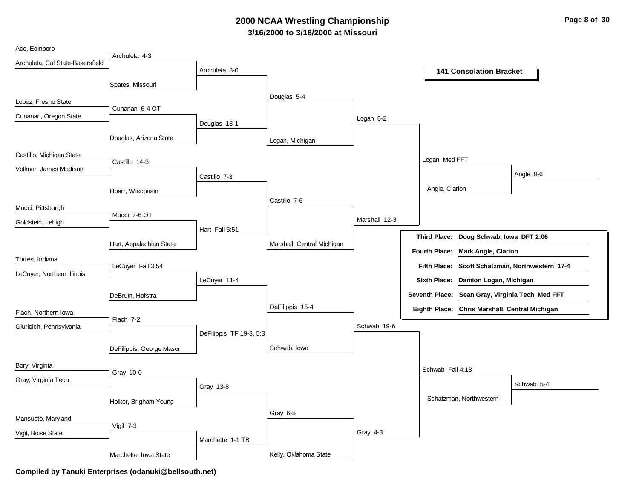# **3/16/2000 to 3/18/2000 at Missouri 2000 NCAA Wrestling Championship Page 8 of 30**

| Ace, Edinboro                    |                          |                         |                            |               |                      |                                                 |                                                 |
|----------------------------------|--------------------------|-------------------------|----------------------------|---------------|----------------------|-------------------------------------------------|-------------------------------------------------|
| Archuleta, Cal State-Bakersfield | Archuleta 4-3            |                         |                            |               |                      |                                                 |                                                 |
|                                  |                          | Archuleta 8-0           |                            |               |                      | <b>141 Consolation Bracket</b>                  |                                                 |
|                                  | Spates, Missouri         |                         |                            |               |                      |                                                 |                                                 |
|                                  |                          |                         | Douglas 5-4                |               |                      |                                                 |                                                 |
| Lopez, Fresno State              | Cunanan 6-4 OT           |                         |                            |               |                      |                                                 |                                                 |
| Cunanan, Oregon State            |                          | Douglas 13-1            |                            | Logan 6-2     |                      |                                                 |                                                 |
|                                  |                          |                         |                            |               |                      |                                                 |                                                 |
|                                  | Douglas, Arizona State   |                         | Logan, Michigan            |               |                      |                                                 |                                                 |
| Castillo, Michigan State         |                          |                         |                            |               | Logan Med FFT        |                                                 |                                                 |
| Vollmer, James Madison           | Castillo 14-3            |                         |                            |               |                      |                                                 |                                                 |
|                                  |                          | Castillo 7-3            |                            |               |                      |                                                 | Angle 8-6                                       |
|                                  | Hoerr, Wisconsin         |                         |                            |               | Angle, Clarion       |                                                 |                                                 |
| Mucci, Pittsburgh                |                          |                         | Castillo 7-6               |               |                      |                                                 |                                                 |
|                                  | Mucci 7-6 OT             |                         |                            | Marshall 12-3 |                      |                                                 |                                                 |
| Goldstein, Lehigh                |                          | Hart Fall 5:51          |                            |               |                      |                                                 |                                                 |
|                                  | Hart, Appalachian State  |                         | Marshall, Central Michigan |               | <b>Third Place:</b>  | Doug Schwab, Iowa DFT 2:06                      |                                                 |
|                                  |                          |                         |                            |               | <b>Fourth Place:</b> | <b>Mark Angle, Clarion</b>                      |                                                 |
| Torres, Indiana                  | LeCuyer Fall 3:54        |                         |                            |               |                      |                                                 | Fifth Place: Scott Schatzman, Northwestern 17-4 |
| LeCuyer, Northern Illinois       |                          | LeCuyer 11-4            |                            |               | <b>Sixth Place:</b>  | Damion Logan, Michigan                          |                                                 |
|                                  |                          |                         |                            |               |                      |                                                 |                                                 |
|                                  | DeBruin, Hofstra         |                         |                            |               |                      | Seventh Place: Sean Gray, Virginia Tech Med FFT |                                                 |
| Flach, Northern Iowa             |                          |                         | DeFilippis 15-4            |               |                      | Eighth Place: Chris Marshall, Central Michigan  |                                                 |
| Giuricich, Pennsylvania          | Flach 7-2                |                         |                            | Schwab 19-6   |                      |                                                 |                                                 |
|                                  |                          | DeFilippis TF 19-3, 5:3 |                            |               |                      |                                                 |                                                 |
|                                  | DeFilippis, George Mason |                         | Schwab, Iowa               |               |                      |                                                 |                                                 |
| Bory, Virginia                   |                          |                         |                            |               |                      |                                                 |                                                 |
|                                  | Gray 10-0                |                         |                            |               | Schwab Fall 4:18     |                                                 |                                                 |
| Gray, Virginia Tech              |                          | Gray 13-8               |                            |               |                      |                                                 | Schwab 5-4                                      |
|                                  | Holker, Brigham Young    |                         |                            |               |                      | Schatzman, Northwestern                         |                                                 |
|                                  |                          |                         | Gray 6-5                   |               |                      |                                                 |                                                 |
| Mansueto, Maryland               | Vigil 7-3                |                         |                            |               |                      |                                                 |                                                 |
| Vigil, Boise State               |                          |                         |                            | Gray 4-3      |                      |                                                 |                                                 |
|                                  |                          | Marchette 1-1 TB        |                            |               |                      |                                                 |                                                 |
|                                  | Marchette, Iowa State    |                         | Kelly, Oklahoma State      |               |                      |                                                 |                                                 |

**Compiled by Tanuki Enterprises (odanuki@bellsouth.net)**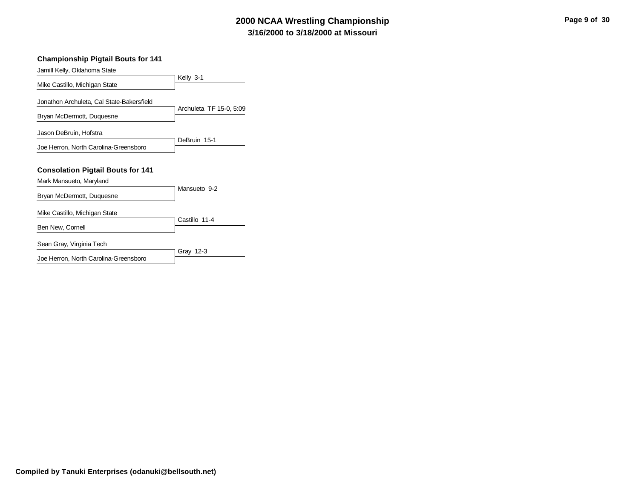# **3/16/2000 to 3/18/2000 at Missouri 2000 NCAA Wrestling Championship Page 9 of 30**

#### **Championship Pigtail Bouts for 141**

| Jamill Kelly, Oklahoma State              |                         |  |
|-------------------------------------------|-------------------------|--|
| Mike Castillo, Michigan State             | Kelly 3-1               |  |
| Jonathon Archuleta, Cal State-Bakersfield |                         |  |
| Bryan McDermott, Duquesne                 | Archuleta TF 15-0, 5:09 |  |
| Jason DeBruin, Hofstra                    |                         |  |
| Joe Herron, North Carolina-Greensboro     | DeBruin 15-1            |  |
| <b>Consolation Pigtail Bouts for 141</b>  |                         |  |
|                                           |                         |  |
| Mark Mansueto, Maryland                   |                         |  |
| Bryan McDermott, Duquesne                 | Mansueto 9-2            |  |
| Mike Castillo, Michigan State             |                         |  |
| Ben New, Cornell                          | Castillo 11-4           |  |
| Sean Gray, Virginia Tech                  | Gray 12-3               |  |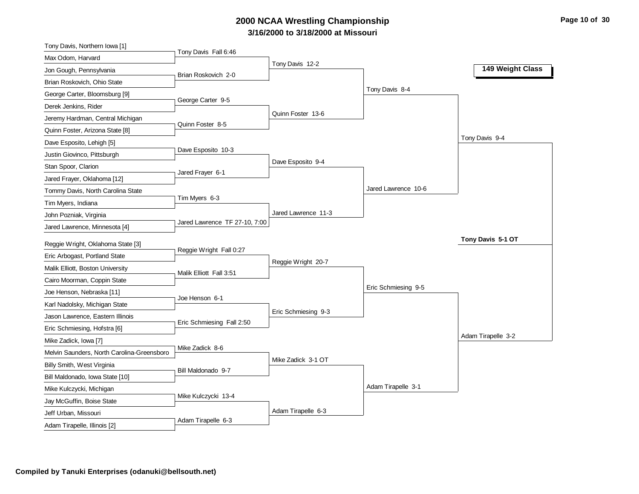# **3/16/2000 to 3/18/2000 at Missouri 2000 NCAA Wrestling Championship Page 10 of 30**

| Tony Davis, Northern Iowa [1]                     |                               |                     |                     |                    |
|---------------------------------------------------|-------------------------------|---------------------|---------------------|--------------------|
| Max Odom, Harvard                                 | Tony Davis Fall 6:46          |                     |                     |                    |
| Jon Gough, Pennsylvania                           | Brian Roskovich 2-0           | Tony Davis 12-2     |                     | 149 Weight Class   |
| Brian Roskovich, Ohio State                       |                               |                     |                     |                    |
| George Carter, Bloomsburg [9]                     |                               |                     | Tony Davis 8-4      |                    |
| Derek Jenkins, Rider                              | George Carter 9-5             |                     |                     |                    |
| Jeremy Hardman, Central Michigan                  |                               | Quinn Foster 13-6   |                     |                    |
| Quinn Foster, Arizona State [8]                   | Quinn Foster 8-5              |                     |                     |                    |
| Dave Esposito, Lehigh [5]                         |                               |                     |                     | Tony Davis 9-4     |
| Justin Giovinco, Pittsburgh                       | Dave Esposito 10-3            |                     |                     |                    |
| Stan Spoor, Clarion                               |                               | Dave Esposito 9-4   |                     |                    |
| Jared Frayer, Oklahoma [12]                       | Jared Frayer 6-1              |                     |                     |                    |
| Tommy Davis, North Carolina State                 |                               |                     | Jared Lawrence 10-6 |                    |
| Tim Myers, Indiana                                | Tim Myers 6-3                 |                     |                     |                    |
| John Pozniak, Virginia                            |                               | Jared Lawrence 11-3 |                     |                    |
| Jared Lawrence, Minnesota [4]                     | Jared Lawrence TF 27-10, 7:00 |                     |                     |                    |
| Reggie Wright, Oklahoma State [3]                 |                               |                     |                     | Tony Davis 5-1 OT  |
| Eric Arbogast, Portland State                     | Reggie Wright Fall 0:27       |                     |                     |                    |
| Malik Elliott, Boston University                  |                               | Reggie Wright 20-7  |                     |                    |
| Cairo Moorman, Coppin State                       | Malik Elliott Fall 3:51       |                     |                     |                    |
| Joe Henson, Nebraska [11]                         |                               |                     | Eric Schmiesing 9-5 |                    |
| Karl Nadolsky, Michigan State                     | Joe Henson 6-1                |                     |                     |                    |
| Jason Lawrence, Eastern Illinois                  |                               | Eric Schmiesing 9-3 |                     |                    |
| Eric Schmiesing, Hofstra [6]                      | Eric Schmiesing Fall 2:50     |                     |                     |                    |
| Mike Zadick, Iowa [7]                             |                               |                     |                     | Adam Tirapelle 3-2 |
| Melvin Saunders, North Carolina-Greensboro        | Mike Zadick 8-6               |                     |                     |                    |
| Billy Smith, West Virginia                        |                               | Mike Zadick 3-1 OT  |                     |                    |
| Bill Maldonado, Iowa State [10]                   | Bill Maldonado 9-7            |                     |                     |                    |
| Mike Kulczycki, Michigan                          |                               |                     | Adam Tirapelle 3-1  |                    |
|                                                   |                               |                     |                     |                    |
|                                                   | Mike Kulczycki 13-4           |                     |                     |                    |
| Jay McGuffin, Boise State<br>Jeff Urban, Missouri |                               | Adam Tirapelle 6-3  |                     |                    |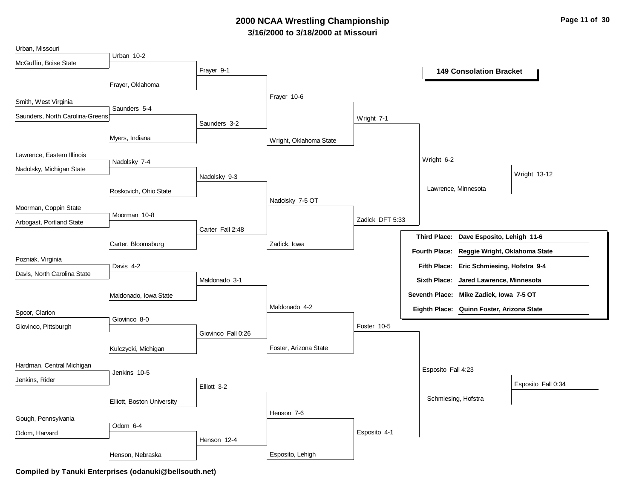# **3/16/2000 to 3/18/2000 at Missouri 2000 NCAA Wrestling Championship Page 11 of 30**

| Urban, Missouri                 |                            |                    |                        |                 |                                                       |
|---------------------------------|----------------------------|--------------------|------------------------|-----------------|-------------------------------------------------------|
| McGuffin, Boise State           | Urban 10-2                 |                    |                        |                 |                                                       |
|                                 |                            | Frayer 9-1         |                        |                 | <b>149 Consolation Bracket</b>                        |
|                                 | Frayer, Oklahoma           |                    |                        |                 |                                                       |
|                                 |                            |                    | Frayer 10-6            |                 |                                                       |
| Smith, West Virginia            | Saunders 5-4               |                    |                        |                 |                                                       |
| Saunders, North Carolina-Greens |                            |                    |                        | Wright 7-1      |                                                       |
|                                 |                            | Saunders 3-2       |                        |                 |                                                       |
|                                 | Myers, Indiana             |                    | Wright, Oklahoma State |                 |                                                       |
| Lawrence, Eastern Illinois      |                            |                    |                        |                 |                                                       |
|                                 | Nadolsky 7-4               |                    |                        |                 | Wright 6-2                                            |
| Nadolsky, Michigan State        |                            | Nadolsky 9-3       |                        |                 | Wright 13-12                                          |
|                                 |                            |                    |                        |                 | Lawrence, Minnesota                                   |
|                                 | Roskovich, Ohio State      |                    | Nadolsky 7-5 OT        |                 |                                                       |
| Moorman, Coppin State           |                            |                    |                        |                 |                                                       |
| Arbogast, Portland State        | Moorman 10-8               |                    |                        | Zadick DFT 5:33 |                                                       |
|                                 |                            | Carter Fall 2:48   |                        |                 |                                                       |
|                                 | Carter, Bloomsburg         |                    | Zadick, Iowa           |                 | Third Place: Dave Esposito, Lehigh 11-6               |
|                                 |                            |                    |                        |                 | <b>Fourth Place:</b><br>Reggie Wright, Oklahoma State |
| Pozniak, Virginia               | Davis 4-2                  |                    |                        |                 | Fifth Place: Eric Schmiesing, Hofstra 9-4             |
| Davis, North Carolina State     |                            | Maldonado 3-1      |                        |                 | <b>Sixth Place:</b><br>Jared Lawrence, Minnesota      |
|                                 |                            |                    |                        |                 |                                                       |
|                                 | Maldonado, Iowa State      |                    |                        |                 | Seventh Place: Mike Zadick, Iowa 7-5 OT               |
| Spoor, Clarion                  |                            |                    | Maldonado 4-2          |                 | Eighth Place: Quinn Foster, Arizona State             |
| Giovinco, Pittsburgh            | Giovinco 8-0               |                    |                        | Foster 10-5     |                                                       |
|                                 |                            | Giovinco Fall 0:26 |                        |                 |                                                       |
|                                 | Kulczycki, Michigan        |                    | Foster, Arizona State  |                 |                                                       |
|                                 |                            |                    |                        |                 |                                                       |
| Hardman, Central Michigan       | Jenkins 10-5               |                    |                        |                 | Esposito Fall 4:23                                    |
| Jenkins, Rider                  |                            | Elliott 3-2        |                        |                 | Esposito Fall 0:34                                    |
|                                 |                            |                    |                        |                 |                                                       |
|                                 | Elliott, Boston University |                    |                        |                 | Schmiesing, Hofstra                                   |
| Gough, Pennsylvania             |                            |                    | Henson 7-6             |                 |                                                       |
|                                 | Odom 6-4                   |                    |                        | Esposito 4-1    |                                                       |
| Odom, Harvard                   |                            | Henson 12-4        |                        |                 |                                                       |
|                                 | Henson, Nebraska           |                    | Esposito, Lehigh       |                 |                                                       |
|                                 |                            |                    |                        |                 |                                                       |

**Compiled by Tanuki Enterprises (odanuki@bellsouth.net)**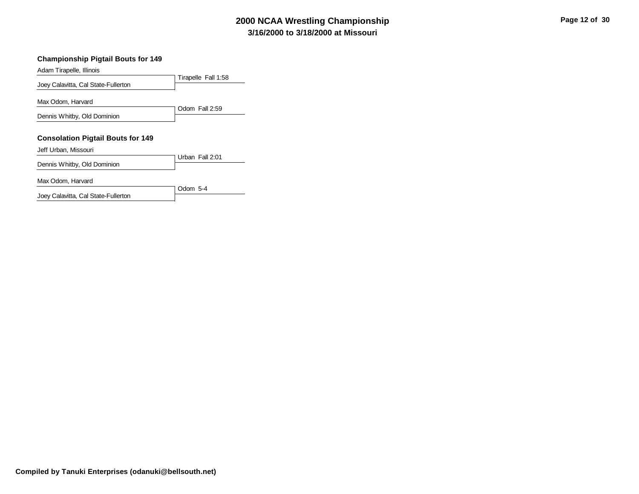# **3/16/2000 to 3/18/2000 at Missouri 2000 NCAA Wrestling Championship Page 12 of 30**

#### **Championship Pigtail Bouts for 149**

| Adam Tirapelle, Illinois                 |                     |
|------------------------------------------|---------------------|
|                                          | Tirapelle Fall 1:58 |
| Joey Calavitta, Cal State-Fullerton      |                     |
| Max Odom. Harvard                        |                     |
|                                          | Odom Fall 2:59      |
| Dennis Whitby, Old Dominion              |                     |
|                                          |                     |
| <b>Consolation Pigtail Bouts for 149</b> |                     |
| Jeff Urban, Missouri                     |                     |
|                                          | Urban Fall 2:01     |
| Dennis Whitby, Old Dominion              |                     |
| Max Odom, Harvard                        | Odom $5-4$          |

Joey Calavitta, Cal State-Fullerton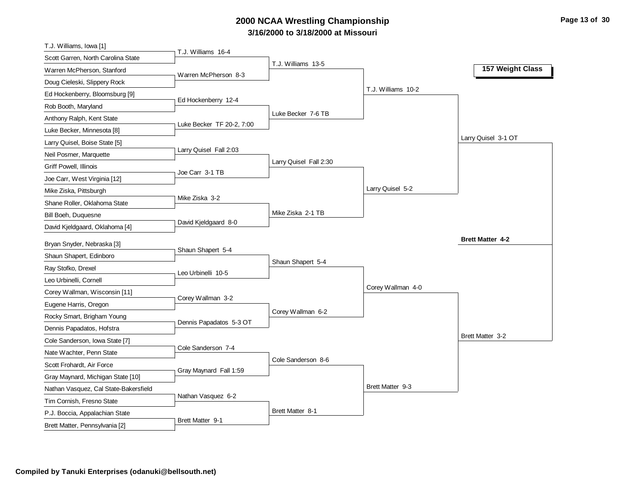# **3/16/2000 to 3/18/2000 at Missouri 2000 NCAA Wrestling Championship Page 13 of 30**

| T.J. Williams, Iowa [1]                                          |                           |                        |                    |                         |
|------------------------------------------------------------------|---------------------------|------------------------|--------------------|-------------------------|
| Scott Garren, North Carolina State                               | T.J. Williams 16-4        |                        |                    |                         |
| Warren McPherson, Stanford                                       | Warren McPherson 8-3      | T.J. Williams 13-5     |                    | 157 Weight Class        |
| Doug Cieleski, Slippery Rock                                     |                           |                        |                    |                         |
| Ed Hockenberry, Bloomsburg [9]                                   |                           |                        | T.J. Williams 10-2 |                         |
| Rob Booth, Maryland                                              | Ed Hockenberry 12-4       |                        |                    |                         |
| Anthony Ralph, Kent State                                        |                           | Luke Becker 7-6 TB     |                    |                         |
| Luke Becker, Minnesota [8]                                       | Luke Becker TF 20-2, 7:00 |                        |                    |                         |
| Larry Quisel, Boise State [5]                                    |                           |                        |                    | Larry Quisel 3-1 OT     |
| Neil Posmer, Marquette                                           | Larry Quisel Fall 2:03    |                        |                    |                         |
| Griff Powell, Illinois                                           |                           | Larry Quisel Fall 2:30 |                    |                         |
| Joe Carr, West Virginia [12]                                     | Joe Carr 3-1 TB           |                        |                    |                         |
| Mike Ziska, Pittsburgh                                           |                           |                        | Larry Quisel 5-2   |                         |
| Shane Roller, Oklahoma State                                     | Mike Ziska 3-2            |                        |                    |                         |
| Bill Boeh, Duquesne                                              |                           | Mike Ziska 2-1 TB      |                    |                         |
| David Kjeldgaard, Oklahoma [4]                                   | David Kjeldgaard 8-0      |                        |                    |                         |
|                                                                  |                           |                        |                    | <b>Brett Matter 4-2</b> |
|                                                                  |                           |                        |                    |                         |
| Bryan Snyder, Nebraska [3]                                       | Shaun Shapert 5-4         |                        |                    |                         |
| Shaun Shapert, Edinboro                                          |                           | Shaun Shapert 5-4      |                    |                         |
| Ray Stofko, Drexel                                               | Leo Urbinelli 10-5        |                        |                    |                         |
| Leo Urbinelli, Cornell                                           |                           |                        | Corey Wallman 4-0  |                         |
| Corey Wallman, Wisconsin [11]                                    | Corey Wallman 3-2         |                        |                    |                         |
| Eugene Harris, Oregon                                            |                           | Corey Wallman 6-2      |                    |                         |
| Rocky Smart, Brigham Young                                       | Dennis Papadatos 5-3 OT   |                        |                    |                         |
| Dennis Papadatos, Hofstra                                        |                           |                        |                    | Brett Matter 3-2        |
| Cole Sanderson, Iowa State [7]                                   | Cole Sanderson 7-4        |                        |                    |                         |
| Nate Wachter, Penn State                                         |                           | Cole Sanderson 8-6     |                    |                         |
| Scott Frohardt, Air Force                                        | Gray Maynard Fall 1:59    |                        |                    |                         |
| Gray Maynard, Michigan State [10]                                |                           |                        |                    |                         |
| Nathan Vasquez, Cal State-Bakersfield                            |                           |                        | Brett Matter 9-3   |                         |
| Tim Cornish, Fresno State                                        | Nathan Vasquez 6-2        |                        |                    |                         |
| P.J. Boccia, Appalachian State<br>Brett Matter, Pennsylvania [2] | Brett Matter 9-1          | Brett Matter 8-1       |                    |                         |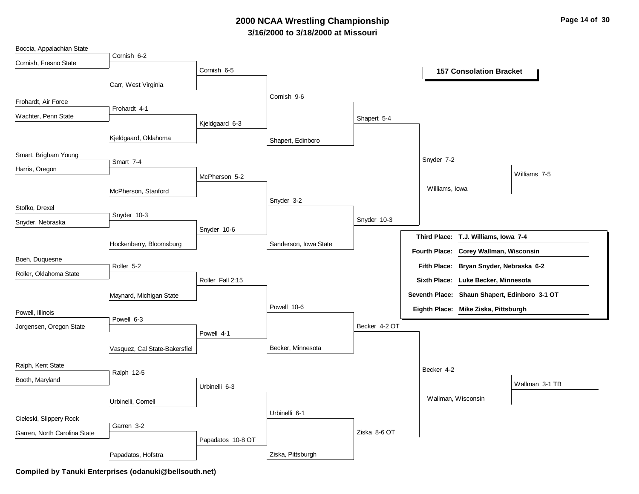# **3/16/2000 to 3/18/2000 at Missouri 2000 NCAA Wrestling Championship Page 14 of 30**

| Boccia, Appalachian State    |                               |                   |                       |               |                    |                                               |                |
|------------------------------|-------------------------------|-------------------|-----------------------|---------------|--------------------|-----------------------------------------------|----------------|
| Cornish, Fresno State        | Cornish 6-2                   |                   |                       |               |                    |                                               |                |
|                              |                               | Cornish 6-5       |                       |               |                    | <b>157 Consolation Bracket</b>                |                |
|                              | Carr, West Virginia           |                   |                       |               |                    |                                               |                |
|                              |                               |                   | Cornish 9-6           |               |                    |                                               |                |
| Frohardt, Air Force          | Frohardt 4-1                  |                   |                       |               |                    |                                               |                |
| Wachter, Penn State          |                               | Kjeldgaard 6-3    |                       | Shapert 5-4   |                    |                                               |                |
|                              | Kjeldgaard, Oklahoma          |                   | Shapert, Edinboro     |               |                    |                                               |                |
| Smart, Brigham Young         | Smart 7-4                     |                   |                       |               | Snyder 7-2         |                                               |                |
| Harris, Oregon               |                               | McPherson 5-2     |                       |               |                    |                                               | Williams 7-5   |
|                              | McPherson, Stanford           |                   |                       |               | Williams, Iowa     |                                               |                |
|                              |                               |                   | Snyder 3-2            |               |                    |                                               |                |
| Stofko, Drexel               | Snyder 10-3                   |                   |                       |               |                    |                                               |                |
| Snyder, Nebraska             |                               |                   |                       | Snyder 10-3   |                    |                                               |                |
|                              |                               | Snyder 10-6       |                       |               |                    | Third Place: T.J. Williams, Iowa 7-4          |                |
|                              | Hockenberry, Bloomsburg       |                   | Sanderson, Iowa State |               |                    | Fourth Place: Corey Wallman, Wisconsin        |                |
| Boeh, Duquesne               | Roller 5-2                    |                   |                       |               |                    | Fifth Place: Bryan Snyder, Nebraska 6-2       |                |
| Roller, Oklahoma State       |                               | Roller Fall 2:15  |                       |               |                    | Sixth Place: Luke Becker, Minnesota           |                |
|                              |                               |                   |                       |               |                    |                                               |                |
|                              | Maynard, Michigan State       |                   |                       |               |                    | Seventh Place: Shaun Shapert, Edinboro 3-1 OT |                |
| Powell, Illinois             |                               |                   | Powell 10-6           |               |                    | Eighth Place: Mike Ziska, Pittsburgh          |                |
| Jorgensen, Oregon State      | Powell 6-3                    |                   |                       | Becker 4-2 OT |                    |                                               |                |
|                              |                               | Powell 4-1        |                       |               |                    |                                               |                |
|                              | Vasquez, Cal State-Bakersfiel |                   | Becker, Minnesota     |               |                    |                                               |                |
| Ralph, Kent State            |                               |                   |                       |               | Becker 4-2         |                                               |                |
| Booth, Maryland              | Ralph 12-5                    |                   |                       |               |                    |                                               |                |
|                              |                               | Urbinelli 6-3     |                       |               |                    |                                               | Wallman 3-1 TB |
|                              | Urbinelli, Cornell            |                   |                       |               | Wallman, Wisconsin |                                               |                |
| Cieleski, Slippery Rock      |                               |                   | Urbinelli 6-1         |               |                    |                                               |                |
| Garren, North Carolina State | Garren 3-2                    |                   |                       | Ziska 8-6 OT  |                    |                                               |                |
|                              |                               | Papadatos 10-8 OT |                       |               |                    |                                               |                |
|                              | Papadatos, Hofstra            |                   | Ziska, Pittsburgh     |               |                    |                                               |                |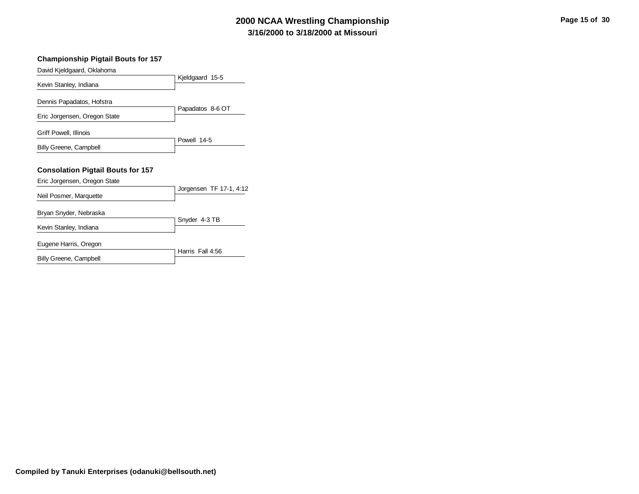# **3/16/2000 to 3/18/2000 at Missouri 2000 NCAA Wrestling Championship**

| Page 15 of 30 |  |  |  |
|---------------|--|--|--|
|---------------|--|--|--|

| <b>Championship Pigtail Bouts for 157</b> |                         |
|-------------------------------------------|-------------------------|
| David Kjeldgaard, Oklahoma                |                         |
| Kevin Stanley, Indiana                    | Kjeldgaard 15-5         |
| Dennis Papadatos, Hofstra                 |                         |
| Eric Jorgensen, Oregon State              | Papadatos 8-6 OT        |
| Griff Powell, Illinois                    | Powell 14-5             |
| Billy Greene, Campbell                    |                         |
| <b>Consolation Pigtail Bouts for 157</b>  |                         |
| Eric Jorgensen, Oregon State              | Jorgensen TF 17-1, 4:12 |
| Neil Posmer, Marquette                    |                         |
| Bryan Snyder, Nebraska                    |                         |
| Kevin Stanley, Indiana                    | Snyder 4-3 TB           |
| Eugene Harris, Oregon                     | Harris Fall 4:56        |
| Billy Greene, Campbell                    |                         |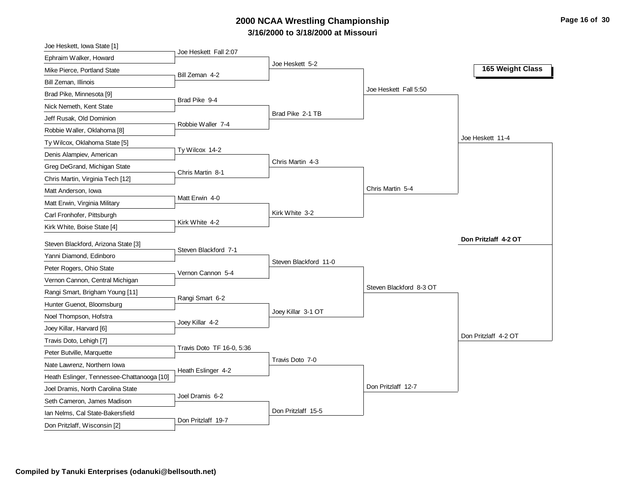# **3/16/2000 to 3/18/2000 at Missouri 2000 NCAA Wrestling Championship Page 16 of 30**

| Joe Heskett, Iowa State [1]                                      | Joe Heskett Fall 2:07     |                       |                         |                      |
|------------------------------------------------------------------|---------------------------|-----------------------|-------------------------|----------------------|
| Ephraim Walker, Howard                                           |                           | Joe Heskett 5-2       |                         |                      |
| Mike Pierce, Portland State                                      | Bill Zeman 4-2            |                       |                         | 165 Weight Class     |
| Bill Zeman, Illinois                                             |                           |                       |                         |                      |
| Brad Pike, Minnesota [9]                                         |                           |                       | Joe Heskett Fall 5:50   |                      |
| Nick Nemeth, Kent State                                          | Brad Pike 9-4             |                       |                         |                      |
| Jeff Rusak, Old Dominion                                         |                           | Brad Pike 2-1 TB      |                         |                      |
| Robbie Waller, Oklahoma [8]                                      | Robbie Waller 7-4         |                       |                         |                      |
| Ty Wilcox, Oklahoma State [5]                                    |                           |                       |                         | Joe Heskett 11-4     |
| Denis Alampiev, American                                         | Ty Wilcox 14-2            |                       |                         |                      |
| Greg DeGrand, Michigan State                                     | Chris Martin 8-1          | Chris Martin 4-3      |                         |                      |
| Chris Martin, Virginia Tech [12]                                 |                           |                       |                         |                      |
| Matt Anderson, Iowa                                              |                           |                       | Chris Martin 5-4        |                      |
| Matt Erwin, Virginia Military                                    | Matt Erwin 4-0            |                       |                         |                      |
| Carl Fronhofer, Pittsburgh                                       |                           | Kirk White 3-2        |                         |                      |
| Kirk White, Boise State [4]                                      | Kirk White 4-2            |                       |                         |                      |
| Steven Blackford, Arizona State [3]                              |                           |                       |                         | Don Pritzlaff 4-2 OT |
| Yanni Diamond, Edinboro                                          | Steven Blackford 7-1      |                       |                         |                      |
| Peter Rogers, Ohio State                                         |                           | Steven Blackford 11-0 |                         |                      |
| Vernon Cannon, Central Michigan                                  | Vernon Cannon 5-4         |                       |                         |                      |
| Rangi Smart, Brigham Young [11]                                  |                           |                       | Steven Blackford 8-3 OT |                      |
| Hunter Guenot, Bloomsburg                                        | Rangi Smart 6-2           |                       |                         |                      |
| Noel Thompson, Hofstra                                           |                           | Joey Killar 3-1 OT    |                         |                      |
| Joey Killar, Harvard [6]                                         | Joey Killar 4-2           |                       |                         |                      |
| Travis Doto, Lehigh [7]                                          |                           |                       |                         | Don Pritzlaff 4-2 OT |
| Peter Butville, Marquette                                        | Travis Doto TF 16-0, 5:36 |                       |                         |                      |
|                                                                  |                           |                       |                         |                      |
|                                                                  |                           | Travis Doto 7-0       |                         |                      |
| Nate Lawrenz, Northern Iowa                                      | Heath Eslinger 4-2        |                       |                         |                      |
| Heath Eslinger, Tennessee-Chattanooga [10]                       |                           |                       | Don Pritzlaff 12-7      |                      |
| Joel Dramis, North Carolina State                                | Joel Dramis 6-2           |                       |                         |                      |
| Seth Cameron, James Madison                                      |                           | Don Pritzlaff 15-5    |                         |                      |
| Ian Nelms, Cal State-Bakersfield<br>Don Pritzlaff, Wisconsin [2] | Don Pritzlaff 19-7        |                       |                         |                      |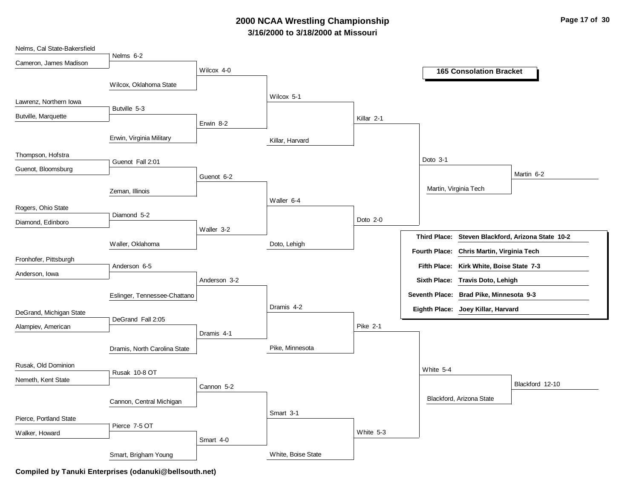# **3/16/2000 to 3/18/2000 at Missouri 2000 NCAA Wrestling Championship Page 17 of 30**

| Nelms, Cal State-Bakersfield |                              |              |                    |                 |                                                             |
|------------------------------|------------------------------|--------------|--------------------|-----------------|-------------------------------------------------------------|
| Cameron, James Madison       | Nelms 6-2                    |              |                    |                 |                                                             |
|                              |                              | Wilcox 4-0   |                    |                 | <b>165 Consolation Bracket</b>                              |
|                              | Wilcox, Oklahoma State       |              |                    |                 |                                                             |
|                              |                              |              | Wilcox 5-1         |                 |                                                             |
| Lawrenz, Northern Iowa       | Butville 5-3                 |              |                    |                 |                                                             |
| Butville, Marquette          |                              | Erwin 8-2    |                    | Killar 2-1      |                                                             |
|                              |                              |              |                    |                 |                                                             |
|                              | Erwin, Virginia Military     |              | Killar, Harvard    |                 |                                                             |
| Thompson, Hofstra            |                              |              |                    |                 | Doto 3-1                                                    |
| Guenot, Bloomsburg           | Guenot Fall 2:01             |              |                    |                 |                                                             |
|                              |                              | Guenot 6-2   |                    |                 | Martin 6-2                                                  |
|                              | Zeman, Illinois              |              |                    |                 | Martin, Virginia Tech                                       |
| Rogers, Ohio State           |                              |              | Waller 6-4         |                 |                                                             |
|                              | Diamond 5-2                  |              |                    | Doto $2-0$      |                                                             |
| Diamond, Edinboro            |                              | Waller 3-2   |                    |                 |                                                             |
|                              |                              |              | Doto, Lehigh       |                 | <b>Third Place:</b><br>Steven Blackford, Arizona State 10-2 |
|                              | Waller, Oklahoma             |              |                    |                 | Fourth Place:<br>Chris Martin, Virginia Tech                |
| Fronhofer, Pittsburgh        | Anderson 6-5                 |              |                    |                 | Fifth Place: Kirk White, Boise State 7-3                    |
| Anderson, Iowa               |                              | Anderson 3-2 |                    |                 | Sixth Place: Travis Doto, Lehigh                            |
|                              |                              |              |                    |                 |                                                             |
|                              | Eslinger, Tennessee-Chattano |              |                    |                 | Seventh Place: Brad Pike, Minnesota 9-3                     |
| DeGrand, Michigan State      |                              |              | Dramis 4-2         |                 | Eighth Place: Joey Killar, Harvard                          |
| Alampiev, American           | DeGrand Fall 2:05            |              |                    | <b>Pike 2-1</b> |                                                             |
|                              |                              | Dramis 4-1   |                    |                 |                                                             |
|                              | Dramis, North Carolina State |              | Pike, Minnesota    |                 |                                                             |
| Rusak, Old Dominion          |                              |              |                    |                 |                                                             |
|                              | Rusak 10-8 OT                |              |                    |                 | White 5-4                                                   |
| Nemeth, Kent State           |                              | Cannon 5-2   |                    |                 | Blackford 12-10                                             |
|                              |                              |              |                    |                 | Blackford, Arizona State                                    |
|                              | Cannon, Central Michigan     |              |                    |                 |                                                             |
| Pierce, Portland State       |                              |              | Smart 3-1          |                 |                                                             |
| Walker, Howard               | Pierce 7-5 OT                |              |                    | White 5-3       |                                                             |
|                              |                              | Smart 4-0    |                    |                 |                                                             |
|                              | Smart, Brigham Young         |              | White, Boise State |                 |                                                             |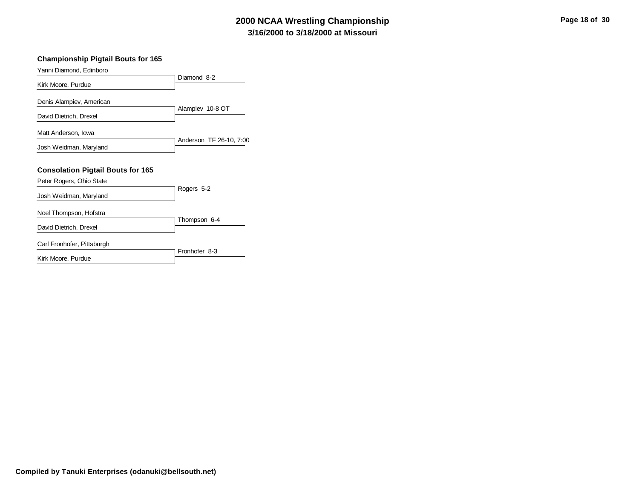# **3/16/2000 to 3/18/2000 at Missouri 2000 NCAA Wrestling Championship Page 18 of 30**

#### **Championship Pigtail Bouts for 165**

| Yanni Diamond, Edinboro                  |                         |
|------------------------------------------|-------------------------|
| Kirk Moore, Purdue                       | Diamond 8-2             |
|                                          |                         |
| Denis Alampiev, American                 |                         |
| David Dietrich, Drexel                   | Alampiev 10-8 OT        |
|                                          |                         |
| Matt Anderson, Iowa                      |                         |
| Josh Weidman, Maryland                   | Anderson TF 26-10, 7:00 |
|                                          |                         |
| <b>Consolation Pigtail Bouts for 165</b> |                         |
| Peter Rogers, Ohio State                 |                         |
| Josh Weidman, Maryland                   | Rogers 5-2              |
| Noel Thompson, Hofstra                   |                         |
| David Dietrich, Drexel                   | Thompson 6-4            |
| Carl Fronhofer, Pittsburgh               |                         |
|                                          |                         |
| Kirk Moore, Purdue                       | Fronhofer 8-3           |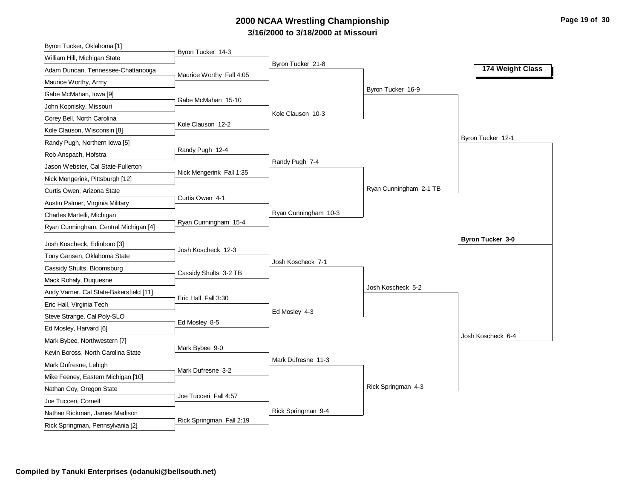# **3/16/2000 to 3/18/2000 at Missouri 2000 NCAA Wrestling Championship Page 19 of 30**

| Byron Tucker, Oklahoma [1]              |                          |                      |                        |                         |
|-----------------------------------------|--------------------------|----------------------|------------------------|-------------------------|
| William Hill, Michigan State            | Byron Tucker 14-3        |                      |                        |                         |
| Adam Duncan, Tennessee-Chattanooga      | Maurice Worthy Fall 4:05 | Byron Tucker 21-8    |                        | 174 Weight Class        |
| Maurice Worthy, Army                    |                          |                      |                        |                         |
| Gabe McMahan, Iowa [9]                  |                          |                      | Byron Tucker 16-9      |                         |
| John Kopnisky, Missouri                 | Gabe McMahan 15-10       |                      |                        |                         |
| Corey Bell, North Carolina              |                          | Kole Clauson 10-3    |                        |                         |
| Kole Clauson, Wisconsin [8]             | Kole Clauson 12-2        |                      |                        |                         |
| Randy Pugh, Northern Iowa [5]           |                          |                      |                        | Byron Tucker 12-1       |
| Rob Anspach, Hofstra                    | Randy Pugh 12-4          |                      |                        |                         |
| Jason Webster, Cal State-Fullerton      |                          | Randy Pugh 7-4       |                        |                         |
| Nick Mengerink, Pittsburgh [12]         | Nick Mengerink Fall 1:35 |                      |                        |                         |
| Curtis Owen, Arizona State              |                          |                      | Ryan Cunningham 2-1 TB |                         |
| Austin Palmer, Virginia Military        | Curtis Owen 4-1          |                      |                        |                         |
| Charles Martelli, Michigan              |                          | Ryan Cunningham 10-3 |                        |                         |
| Ryan Cunningham, Central Michigan [4]   | Ryan Cunningham 15-4     |                      |                        |                         |
| Josh Koscheck, Edinboro [3]             |                          |                      |                        | <b>Byron Tucker 3-0</b> |
| Tony Gansen, Oklahoma State             | Josh Koscheck 12-3       |                      |                        |                         |
| Cassidy Shults, Bloomsburg              |                          | Josh Koscheck 7-1    |                        |                         |
| Mack Rohaly, Duquesne                   | Cassidy Shults 3-2 TB    |                      |                        |                         |
| Andy Varner, Cal State-Bakersfield [11] |                          |                      | Josh Koscheck 5-2      |                         |
| Eric Hall, Virginia Tech                | Eric Hall Fall 3:30      |                      |                        |                         |
| Steve Strange, Cal Poly-SLO             |                          | Ed Mosley 4-3        |                        |                         |
| Ed Mosley, Harvard [6]                  | Ed Mosley 8-5            |                      |                        |                         |
| Mark Bybee, Northwestern [7]            |                          |                      |                        | Josh Koscheck 6-4       |
| Kevin Boross, North Carolina State      | Mark Bybee 9-0           |                      |                        |                         |
| Mark Dufresne, Lehigh                   |                          | Mark Dufresne 11-3   |                        |                         |
| Mike Feeney, Eastern Michigan [10]      | Mark Dufresne 3-2        |                      |                        |                         |
| Nathan Coy, Oregon State                |                          |                      | Rick Springman 4-3     |                         |
| Joe Tucceri, Cornell                    | Joe Tucceri Fall 4:57    |                      |                        |                         |
| Nathan Rickman, James Madison           |                          | Rick Springman 9-4   |                        |                         |
| Rick Springman, Pennsylvania [2]        | Rick Springman Fall 2:19 |                      |                        |                         |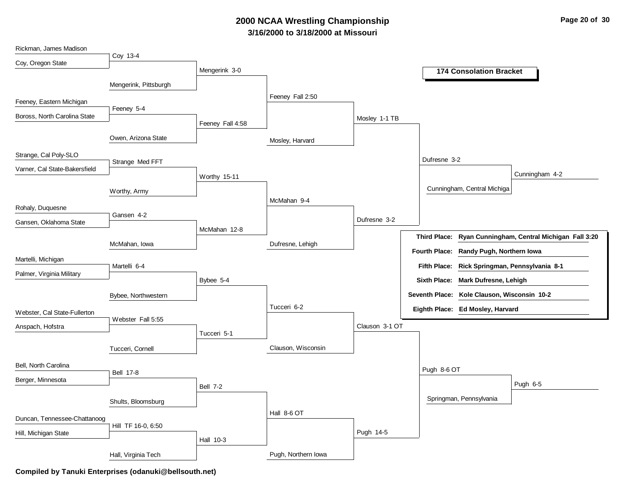# **3/16/2000 to 3/18/2000 at Missouri 2000 NCAA Wrestling Championship Page 20 of 30**

| Rickman, James Madison        |                       |                  |                     |                |                                                          |
|-------------------------------|-----------------------|------------------|---------------------|----------------|----------------------------------------------------------|
| Coy, Oregon State             | Coy 13-4              |                  |                     |                |                                                          |
|                               |                       | Mengerink 3-0    |                     |                | <b>174 Consolation Bracket</b>                           |
|                               | Mengerink, Pittsburgh |                  |                     |                |                                                          |
|                               |                       |                  | Feeney Fall 2:50    |                |                                                          |
| Feeney, Eastern Michigan      | Feeney 5-4            |                  |                     |                |                                                          |
| Boross, North Carolina State  |                       |                  |                     | Mosley 1-1 TB  |                                                          |
|                               |                       | Feeney Fall 4:58 |                     |                |                                                          |
|                               | Owen, Arizona State   |                  | Mosley, Harvard     |                |                                                          |
|                               |                       |                  |                     |                |                                                          |
| Strange, Cal Poly-SLO         | Strange Med FFT       |                  |                     |                | Dufresne 3-2                                             |
| Varner, Cal State-Bakersfield |                       | Worthy 15-11     |                     |                | Cunningham 4-2                                           |
|                               |                       |                  |                     |                |                                                          |
|                               | Worthy, Army          |                  |                     |                | Cunningham, Central Michiga                              |
| Rohaly, Duquesne              |                       |                  | McMahan 9-4         |                |                                                          |
|                               | Gansen 4-2            |                  |                     | Dufresne 3-2   |                                                          |
| Gansen, Oklahoma State        |                       | McMahan 12-8     |                     |                |                                                          |
|                               |                       |                  |                     |                | Third Place: Ryan Cunningham, Central Michigan Fall 3:20 |
|                               | McMahan, Iowa         |                  | Dufresne, Lehigh    |                | Fourth Place: Randy Pugh, Northern Iowa                  |
| Martelli, Michigan            |                       |                  |                     |                | Fifth Place: Rick Springman, Pennsylvania 8-1            |
| Palmer, Virginia Military     | Martelli 6-4          |                  |                     |                |                                                          |
|                               |                       | Bybee 5-4        |                     |                | Sixth Place: Mark Dufresne, Lehigh                       |
|                               | Bybee, Northwestern   |                  |                     |                | Seventh Place: Kole Clauson, Wisconsin 10-2              |
|                               |                       |                  | Tucceri 6-2         |                | Eighth Place: Ed Mosley, Harvard                         |
| Webster, Cal State-Fullerton  | Webster Fall 5:55     |                  |                     |                |                                                          |
| Anspach, Hofstra              |                       |                  |                     | Clauson 3-1 OT |                                                          |
|                               |                       | Tucceri 5-1      |                     |                |                                                          |
|                               | Tucceri, Cornell      |                  | Clauson, Wisconsin  |                |                                                          |
| Bell, North Carolina          |                       |                  |                     |                |                                                          |
|                               | <b>Bell 17-8</b>      |                  |                     |                | Pugh 8-6 OT                                              |
| Berger, Minnesota             |                       | <b>Bell 7-2</b>  |                     |                | Pugh 6-5                                                 |
|                               |                       |                  |                     |                | Springman, Pennsylvania                                  |
|                               | Shults, Bloomsburg    |                  |                     |                |                                                          |
| Duncan, Tennessee-Chattanoog  |                       |                  | Hall 8-6 OT         |                |                                                          |
| Hill, Michigan State          | Hill TF 16-0, 6:50    |                  |                     | Pugh 14-5      |                                                          |
|                               |                       | Hall 10-3        |                     |                |                                                          |
|                               | Hall, Virginia Tech   |                  | Pugh, Northern Iowa |                |                                                          |
|                               |                       |                  |                     |                |                                                          |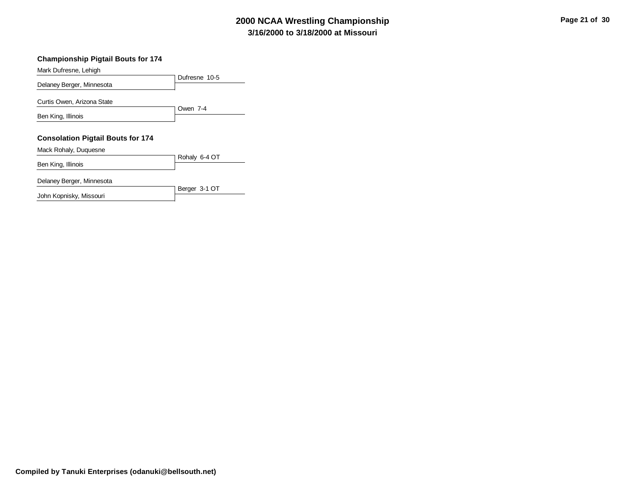# **3/16/2000 to 3/18/2000 at Missouri 2000 NCAA Wrestling Championship Page 21 of 30**

#### **Championship Pigtail Bouts for 174**

Dufresne 10-5 Mark Dufresne, Lehigh Delaney Berger, Minnesota Owen 7-4 Curtis Owen, Arizona State Ben King, Illinois **Consolation Pigtail Bouts for 174**

Mack Rohaly, Duquesne

Rohaly 6-4 OT Ben King, Illinois

Berger 3-1 OT

Delaney Berger, Minnesota

John Kopnisky, Missouri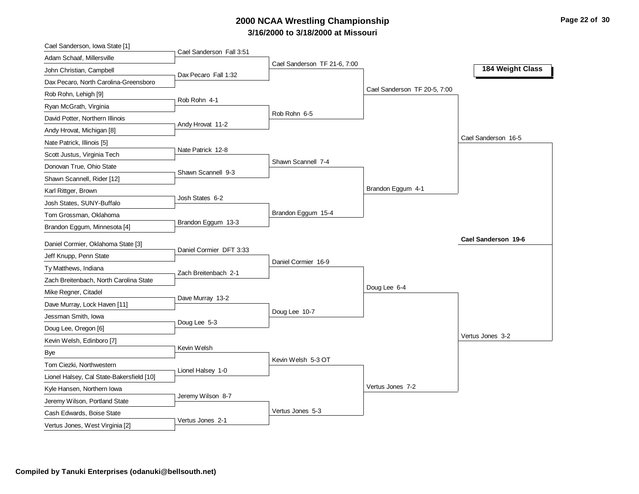# **3/16/2000 to 3/18/2000 at Missouri 2000 NCAA Wrestling Championship Page 22 of 30**

| Cael Sanderson, Iowa State [1]            | Cael Sanderson Fall 3:51 |                              |                              |                     |
|-------------------------------------------|--------------------------|------------------------------|------------------------------|---------------------|
| Adam Schaaf, Millersville                 |                          | Cael Sanderson TF 21-6, 7:00 |                              |                     |
| John Christian, Campbell                  | Dax Pecaro Fall 1:32     |                              |                              | 184 Weight Class    |
| Dax Pecaro, North Carolina-Greensboro     |                          |                              |                              |                     |
| Rob Rohn, Lehigh [9]                      |                          |                              | Cael Sanderson TF 20-5, 7:00 |                     |
| Ryan McGrath, Virginia                    | Rob Rohn 4-1             |                              |                              |                     |
| David Potter, Northern Illinois           |                          | Rob Rohn 6-5                 |                              |                     |
| Andy Hrovat, Michigan [8]                 | Andy Hrovat 11-2         |                              |                              |                     |
| Nate Patrick, Illinois [5]                |                          |                              |                              | Cael Sanderson 16-5 |
| Scott Justus, Virginia Tech               | Nate Patrick 12-8        |                              |                              |                     |
| Donovan True, Ohio State                  | Shawn Scannell 9-3       | Shawn Scannell 7-4           |                              |                     |
| Shawn Scannell, Rider [12]                |                          |                              |                              |                     |
| Karl Rittger, Brown                       |                          |                              | Brandon Eggum 4-1            |                     |
| Josh States, SUNY-Buffalo                 | Josh States 6-2          |                              |                              |                     |
| Tom Grossman, Oklahoma                    |                          | Brandon Eggum 15-4           |                              |                     |
| Brandon Eggum, Minnesota [4]              | Brandon Eggum 13-3       |                              |                              |                     |
|                                           |                          |                              |                              |                     |
|                                           |                          |                              |                              | Cael Sanderson 19-6 |
| Daniel Cormier, Oklahoma State [3]        | Daniel Cormier DFT 3:33  |                              |                              |                     |
| Jeff Knupp, Penn State                    |                          | Daniel Cormier 16-9          |                              |                     |
| Ty Matthews, Indiana                      | Zach Breitenbach 2-1     |                              |                              |                     |
| Zach Breitenbach, North Carolina State    |                          |                              | Doug Lee 6-4                 |                     |
| Mike Regner, Citadel                      | Dave Murray 13-2         |                              |                              |                     |
| Dave Murray, Lock Haven [11]              |                          | Doug Lee 10-7                |                              |                     |
| Jessman Smith, Iowa                       | Doug Lee 5-3             |                              |                              |                     |
| Doug Lee, Oregon [6]                      |                          |                              |                              | Vertus Jones 3-2    |
| Kevin Welsh, Edinboro [7]                 | Kevin Welsh              |                              |                              |                     |
| Bye                                       |                          | Kevin Welsh 5-3 OT           |                              |                     |
| Tom Ciezki, Northwestern                  | Lionel Halsey 1-0        |                              |                              |                     |
| Lionel Halsey, Cal State-Bakersfield [10] |                          |                              | Vertus Jones 7-2             |                     |
| Kyle Hansen, Northern Iowa                | Jeremy Wilson 8-7        |                              |                              |                     |
| Jeremy Wilson, Portland State             |                          | Vertus Jones 5-3             |                              |                     |
| Cash Edwards, Boise State                 | Vertus Jones 2-1         |                              |                              |                     |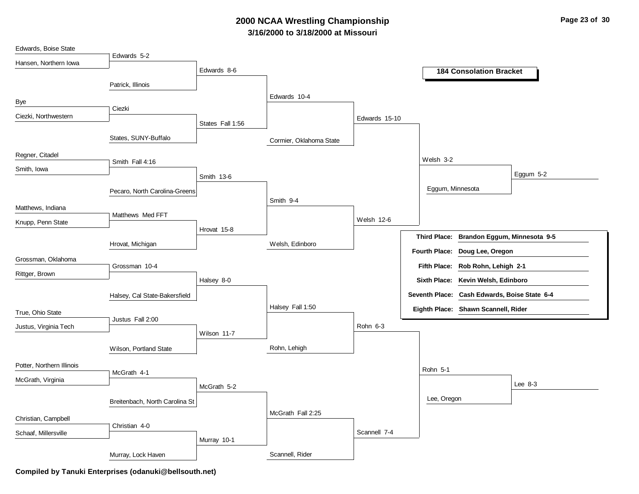# **3/16/2000 to 3/18/2000 at Missouri 2000 NCAA Wrestling Championship Page 23 of 30**

| Edwards, Boise State      |                                |                  |                         |               |                      |                                              |           |
|---------------------------|--------------------------------|------------------|-------------------------|---------------|----------------------|----------------------------------------------|-----------|
| Hansen, Northern Iowa     | Edwards 5-2                    |                  |                         |               |                      |                                              |           |
|                           |                                | Edwards 8-6      |                         |               |                      | <b>184 Consolation Bracket</b>               |           |
|                           | Patrick, Illinois              |                  |                         |               |                      |                                              |           |
| Bye                       |                                |                  | Edwards 10-4            |               |                      |                                              |           |
|                           | Ciezki                         |                  |                         |               |                      |                                              |           |
| Ciezki, Northwestern      |                                | States Fall 1:56 |                         | Edwards 15-10 |                      |                                              |           |
|                           | States, SUNY-Buffalo           |                  | Cormier, Oklahoma State |               |                      |                                              |           |
| Regner, Citadel           | Smith Fall 4:16                |                  |                         |               | Welsh 3-2            |                                              |           |
| Smith, Iowa               |                                |                  |                         |               |                      |                                              | Eggum 5-2 |
|                           |                                | Smith 13-6       |                         |               |                      |                                              |           |
|                           | Pecaro, North Carolina-Greens  |                  | Smith 9-4               |               |                      | Eggum, Minnesota                             |           |
| Matthews, Indiana         |                                |                  |                         |               |                      |                                              |           |
| Knupp, Penn State         | Matthews Med FFT               |                  |                         | Welsh 12-6    |                      |                                              |           |
|                           |                                | Hrovat 15-8      |                         |               |                      | Third Place: Brandon Eggum, Minnesota 9-5    |           |
|                           | Hrovat, Michigan               |                  | Welsh, Edinboro         |               |                      |                                              |           |
| Grossman, Oklahoma        |                                |                  |                         |               | <b>Fourth Place:</b> | Doug Lee, Oregon                             |           |
| Rittger, Brown            | Grossman 10-4                  |                  |                         |               |                      | Fifth Place: Rob Rohn, Lehigh 2-1            |           |
|                           |                                | Halsey 8-0       |                         |               | <b>Sixth Place:</b>  | Kevin Welsh, Edinboro                        |           |
|                           | Halsey, Cal State-Bakersfield  |                  |                         |               |                      | Seventh Place: Cash Edwards, Boise State 6-4 |           |
| True, Ohio State          |                                |                  | Halsey Fall 1:50        |               |                      | Eighth Place: Shawn Scannell, Rider          |           |
| Justus, Virginia Tech     | Justus Fall 2:00               |                  |                         | Rohn 6-3      |                      |                                              |           |
|                           |                                | Wilson 11-7      |                         |               |                      |                                              |           |
|                           | Wilson, Portland State         |                  | Rohn, Lehigh            |               |                      |                                              |           |
| Potter, Northern Illinois |                                |                  |                         |               | Rohn 5-1             |                                              |           |
| McGrath, Virginia         | McGrath 4-1                    |                  |                         |               |                      |                                              |           |
|                           |                                | McGrath 5-2      |                         |               |                      |                                              | Lee $8-3$ |
|                           | Breitenbach, North Carolina St |                  |                         |               | Lee, Oregon          |                                              |           |
| Christian, Campbell       |                                |                  | McGrath Fall 2:25       |               |                      |                                              |           |
|                           | Christian 4-0                  |                  |                         | Scannell 7-4  |                      |                                              |           |
| Schaaf, Millersville      |                                | Murray 10-1      |                         |               |                      |                                              |           |
|                           | Murray, Lock Haven             |                  | Scannell, Rider         |               |                      |                                              |           |
|                           |                                |                  |                         |               |                      |                                              |           |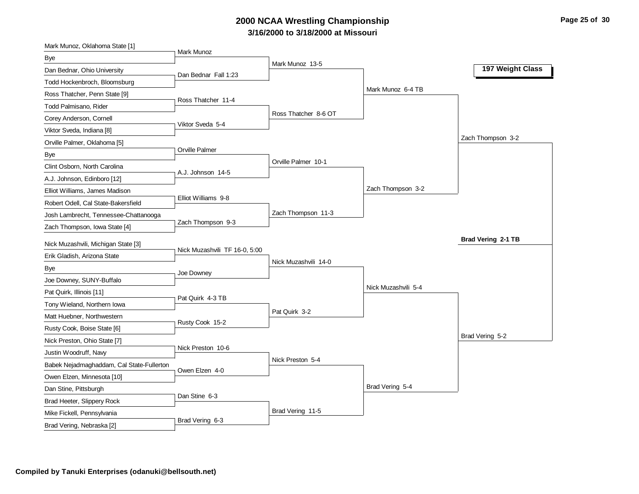# **3/16/2000 to 3/18/2000 at Missouri 2000 NCAA Wrestling Championship Page 25 of 30**

| Mark Munoz, Oklahoma State [1]                                     |                               |                      |                     |                    |
|--------------------------------------------------------------------|-------------------------------|----------------------|---------------------|--------------------|
| Bye                                                                | Mark Munoz                    |                      |                     |                    |
| Dan Bednar, Ohio University                                        | Dan Bednar Fall 1:23          | Mark Munoz 13-5      |                     | 197 Weight Class   |
| Todd Hockenbroch, Bloomsburg                                       |                               |                      |                     |                    |
| Ross Thatcher, Penn State [9]                                      |                               |                      | Mark Munoz 6-4 TB   |                    |
| Todd Palmisano, Rider                                              | Ross Thatcher 11-4            |                      |                     |                    |
| Corey Anderson, Cornell                                            |                               | Ross Thatcher 8-6 OT |                     |                    |
| Viktor Sveda, Indiana [8]                                          | Viktor Sveda 5-4              |                      |                     |                    |
| Orville Palmer, Oklahoma [5]                                       |                               |                      |                     | Zach Thompson 3-2  |
| <b>Bye</b>                                                         | Orville Palmer                |                      |                     |                    |
| Clint Osborn, North Carolina                                       |                               | Orville Palmer 10-1  |                     |                    |
| A.J. Johnson, Edinboro [12]                                        | A.J. Johnson 14-5             |                      |                     |                    |
| Elliot Williams, James Madison                                     |                               |                      | Zach Thompson 3-2   |                    |
| Robert Odell, Cal State-Bakersfield                                | Elliot Williams 9-8           |                      |                     |                    |
| Josh Lambrecht, Tennessee-Chattanooga                              |                               | Zach Thompson 11-3   |                     |                    |
| Zach Thompson, Iowa State [4]                                      | Zach Thompson 9-3             |                      |                     |                    |
|                                                                    |                               |                      |                     | Brad Vering 2-1 TB |
| Nick Muzashvili, Michigan State [3]<br>Erik Gladish, Arizona State | Nick Muzashvili TF 16-0, 5:00 |                      |                     |                    |
|                                                                    |                               |                      |                     |                    |
|                                                                    |                               | Nick Muzashvili 14-0 |                     |                    |
| <b>Bye</b>                                                         | Joe Downey                    |                      |                     |                    |
| Joe Downey, SUNY-Buffalo                                           |                               |                      | Nick Muzashvili 5-4 |                    |
| Pat Quirk, Illinois [11]                                           | Pat Quirk 4-3 TB              |                      |                     |                    |
| Tony Wieland, Northern Iowa                                        |                               | Pat Quirk 3-2        |                     |                    |
| Matt Huebner, Northwestern                                         | Rusty Cook 15-2               |                      |                     |                    |
| Rusty Cook, Boise State [6]                                        |                               |                      |                     | Brad Vering 5-2    |
| Nick Preston, Ohio State [7]                                       | Nick Preston 10-6             |                      |                     |                    |
| Justin Woodruff, Navy                                              |                               | Nick Preston 5-4     |                     |                    |
| Babek Nejadmaghaddam, Cal State-Fullerton                          | Owen Elzen 4-0                |                      |                     |                    |
| Owen Elzen, Minnesota [10]                                         |                               |                      |                     |                    |
| Dan Stine, Pittsburgh                                              | Dan Stine 6-3                 |                      | Brad Vering 5-4     |                    |
| Brad Heeter, Slippery Rock                                         |                               |                      |                     |                    |
| Mike Fickell, Pennsylvania<br>Brad Vering, Nebraska [2]            | Brad Vering 6-3               | Brad Vering 11-5     |                     |                    |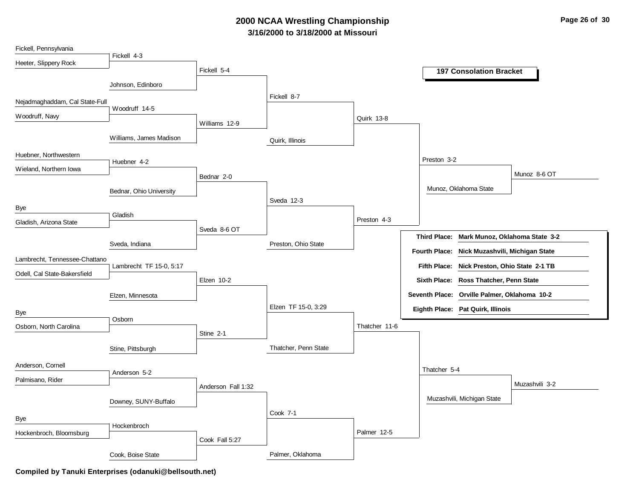# **3/16/2000 to 3/18/2000 at Missouri 2000 NCAA Wrestling Championship Page 26 of 30**

| Fickell, Pennsylvania          |                         |                    |                      |               |                                               |                |
|--------------------------------|-------------------------|--------------------|----------------------|---------------|-----------------------------------------------|----------------|
| Heeter, Slippery Rock          | Fickell 4-3             |                    |                      |               |                                               |                |
|                                |                         | Fickell 5-4        |                      |               | <b>197 Consolation Bracket</b>                |                |
|                                | Johnson, Edinboro       |                    |                      |               |                                               |                |
| Nejadmaghaddam, Cal State-Full |                         |                    | Fickell 8-7          |               |                                               |                |
|                                | Woodruff 14-5           |                    |                      |               |                                               |                |
| Woodruff, Navy                 |                         | Williams 12-9      |                      | Quirk 13-8    |                                               |                |
|                                | Williams, James Madison |                    | Quirk, Illinois      |               |                                               |                |
| Huebner, Northwestern          |                         |                    |                      |               | Preston 3-2                                   |                |
| Wieland, Northern Iowa         | Huebner 4-2             |                    |                      |               |                                               |                |
|                                |                         | Bednar 2-0         |                      |               |                                               | Munoz 8-6 OT   |
|                                | Bednar, Ohio University |                    |                      |               | Munoz, Oklahoma State                         |                |
|                                |                         |                    | Sveda 12-3           |               |                                               |                |
| Bye                            | Gladish                 |                    |                      | Preston 4-3   |                                               |                |
| Gladish, Arizona State         |                         | Sveda 8-6 OT       |                      |               |                                               |                |
|                                | Sveda, Indiana          |                    | Preston, Ohio State  |               | Third Place: Mark Munoz, Oklahoma State 3-2   |                |
| Lambrecht, Tennessee-Chattano  |                         |                    |                      |               | Fourth Place: Nick Muzashvili, Michigan State |                |
|                                | Lambrecht TF 15-0, 5:17 |                    |                      |               | Fifth Place: Nick Preston, Ohio State 2-1 TB  |                |
| Odell, Cal State-Bakersfield   |                         | Elzen 10-2         |                      |               | Sixth Place: Ross Thatcher, Penn State        |                |
|                                | Elzen, Minnesota        |                    |                      |               | Seventh Place: Orville Palmer, Oklahoma 10-2  |                |
| Bye                            |                         |                    | Elzen TF 15-0, 3:29  |               | Eighth Place: Pat Quirk, Illinois             |                |
| Osborn, North Carolina         | Osborn                  |                    |                      | Thatcher 11-6 |                                               |                |
|                                |                         | Stine 2-1          |                      |               |                                               |                |
|                                | Stine, Pittsburgh       |                    | Thatcher, Penn State |               |                                               |                |
| Anderson, Cornell              |                         |                    |                      |               | Thatcher 5-4                                  |                |
| Palmisano, Rider               | Anderson 5-2            |                    |                      |               |                                               |                |
|                                |                         | Anderson Fall 1:32 |                      |               |                                               | Muzashvili 3-2 |
|                                | Downey, SUNY-Buffalo    |                    |                      |               | Muzashvili, Michigan State                    |                |
| Bye                            |                         |                    | Cook 7-1             |               |                                               |                |
| Hockenbroch, Bloomsburg        | Hockenbroch             |                    |                      | Palmer 12-5   |                                               |                |
|                                |                         | Cook Fall 5:27     |                      |               |                                               |                |
|                                | Cook, Boise State       |                    | Palmer, Oklahoma     |               |                                               |                |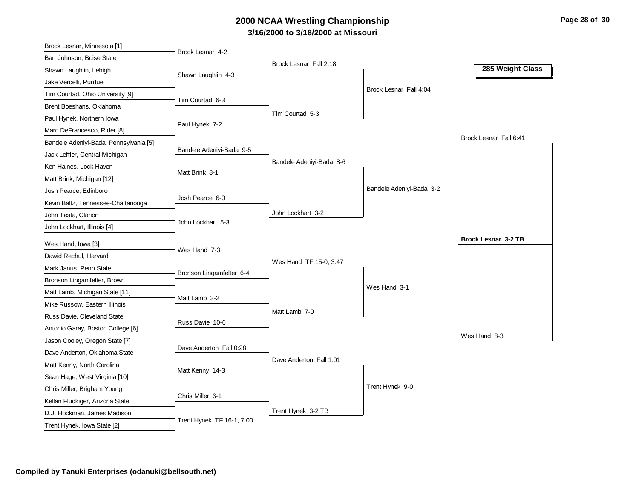# **3/16/2000 to 3/18/2000 at Missouri 2000 NCAA Wrestling Championship Page 28 of 30**

| Brock Lesnar, Minnesota [1]            |                           |                          |                          |                            |  |
|----------------------------------------|---------------------------|--------------------------|--------------------------|----------------------------|--|
| Bart Johnson, Boise State              | Brock Lesnar 4-2          |                          |                          |                            |  |
| Shawn Laughlin, Lehigh                 | Shawn Laughlin 4-3        | Brock Lesnar Fall 2:18   |                          | 285 Weight Class           |  |
| Jake Vercelli, Purdue                  |                           |                          |                          |                            |  |
| Tim Courtad, Ohio University [9]       |                           |                          | Brock Lesnar Fall 4:04   |                            |  |
| Brent Boeshans, Oklahoma               | Tim Courtad 6-3           |                          |                          |                            |  |
| Paul Hynek, Northern Iowa              |                           | Tim Courtad 5-3          |                          |                            |  |
| Marc DeFrancesco, Rider [8]            | Paul Hynek 7-2            |                          |                          |                            |  |
| Bandele Adeniyi-Bada, Pennsylvania [5] |                           |                          |                          | Brock Lesnar Fall 6:41     |  |
| Jack Leffler, Central Michigan         | Bandele Adeniyi-Bada 9-5  |                          |                          |                            |  |
| Ken Haines, Lock Haven                 | Matt Brink 8-1            | Bandele Adeniyi-Bada 8-6 |                          |                            |  |
| Matt Brink, Michigan [12]              |                           |                          |                          |                            |  |
| Josh Pearce, Edinboro                  |                           |                          | Bandele Adeniyi-Bada 3-2 |                            |  |
| Kevin Baltz, Tennessee-Chattanooga     | Josh Pearce 6-0           |                          |                          |                            |  |
| John Testa, Clarion                    |                           | John Lockhart 3-2        |                          |                            |  |
| John Lockhart, Illinois [4]            | John Lockhart 5-3         |                          |                          |                            |  |
|                                        |                           |                          |                          |                            |  |
|                                        |                           |                          |                          | <b>Brock Lesnar 3-2 TB</b> |  |
| Wes Hand, Iowa [3]                     | Wes Hand 7-3              |                          |                          |                            |  |
| Dawid Rechul, Harvard                  |                           | Wes Hand TF 15-0, 3:47   |                          |                            |  |
| Mark Janus, Penn State                 | Bronson Lingamfelter 6-4  |                          |                          |                            |  |
| Bronson Lingamfelter, Brown            |                           |                          | Wes Hand 3-1             |                            |  |
| Matt Lamb, Michigan State [11]         | Matt Lamb 3-2             |                          |                          |                            |  |
| Mike Russow, Eastern Illinois          |                           | Matt Lamb 7-0            |                          |                            |  |
| Russ Davie, Cleveland State            | Russ Davie 10-6           |                          |                          |                            |  |
| Antonio Garay, Boston College [6]      |                           |                          |                          | Wes Hand 8-3               |  |
| Jason Cooley, Oregon State [7]         | Dave Anderton Fall 0:28   |                          |                          |                            |  |
| Dave Anderton, Oklahoma State          |                           | Dave Anderton Fall 1:01  |                          |                            |  |
| Matt Kenny, North Carolina             | Matt Kenny 14-3           |                          |                          |                            |  |
| Sean Hage, West Virginia [10]          |                           |                          | Trent Hynek 9-0          |                            |  |
| Chris Miller, Brigham Young            | Chris Miller 6-1          |                          |                          |                            |  |
| Kellan Fluckiger, Arizona State        |                           | Trent Hynek 3-2 TB       |                          |                            |  |
| D.J. Hockman, James Madison            | Trent Hynek TF 16-1, 7:00 |                          |                          |                            |  |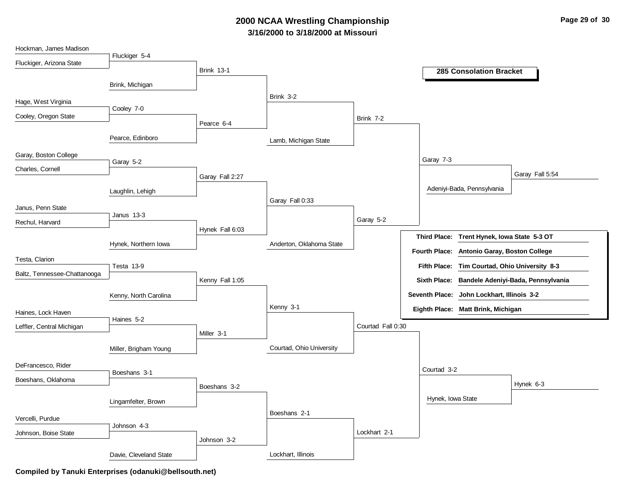# **3/16/2000 to 3/18/2000 at Missouri 2000 NCAA Wrestling Championship Page 29 of 30**

| Hockman, James Madison       |                        |                   |                          |                   |                      |                                               |                                                 |
|------------------------------|------------------------|-------------------|--------------------------|-------------------|----------------------|-----------------------------------------------|-------------------------------------------------|
| Fluckiger, Arizona State     | Fluckiger 5-4          |                   |                          |                   |                      |                                               |                                                 |
|                              |                        | <b>Brink 13-1</b> |                          |                   |                      | <b>285 Consolation Bracket</b>                |                                                 |
|                              | Brink, Michigan        |                   |                          |                   |                      |                                               |                                                 |
| Hage, West Virginia          |                        |                   | Brink 3-2                |                   |                      |                                               |                                                 |
| Cooley, Oregon State         | Cooley 7-0             |                   |                          |                   |                      |                                               |                                                 |
|                              |                        | Pearce 6-4        |                          | Brink 7-2         |                      |                                               |                                                 |
|                              | Pearce, Edinboro       |                   | Lamb, Michigan State     |                   |                      |                                               |                                                 |
| Garay, Boston College        |                        |                   |                          |                   | Garay 7-3            |                                               |                                                 |
| Charles, Cornell             | Garay 5-2              |                   |                          |                   |                      |                                               | Garay Fall 5:54                                 |
|                              |                        | Garay Fall 2:27   |                          |                   |                      |                                               |                                                 |
|                              | Laughlin, Lehigh       |                   |                          |                   |                      | Adeniyi-Bada, Pennsylvania                    |                                                 |
| Janus, Penn State            |                        |                   | Garay Fall 0:33          |                   |                      |                                               |                                                 |
| Rechul, Harvard              | Janus 13-3             |                   |                          | Garay 5-2         |                      |                                               |                                                 |
|                              |                        | Hynek Fall 6:03   |                          |                   |                      | Third Place: Trent Hynek, Iowa State 5-3 OT   |                                                 |
|                              | Hynek, Northern Iowa   |                   | Anderton, Oklahoma State |                   | <b>Fourth Place:</b> | Antonio Garay, Boston College                 |                                                 |
| Testa, Clarion               |                        |                   |                          |                   |                      |                                               |                                                 |
| Baltz, Tennessee-Chattanooga | Testa 13-9             |                   |                          |                   |                      | Fifth Place: Tim Courtad, Ohio University 8-3 |                                                 |
|                              |                        | Kenny Fall 1:05   |                          |                   |                      |                                               | Sixth Place: Bandele Adeniyi-Bada, Pennsylvania |
|                              | Kenny, North Carolina  |                   |                          |                   |                      | Seventh Place: John Lockhart, Illinois 3-2    |                                                 |
| Haines, Lock Haven           |                        |                   | Kenny 3-1                |                   |                      | Eighth Place: Matt Brink, Michigan            |                                                 |
| Leffler, Central Michigan    | Haines 5-2             |                   |                          | Courtad Fall 0:30 |                      |                                               |                                                 |
|                              |                        | Miller 3-1        |                          |                   |                      |                                               |                                                 |
|                              | Miller, Brigham Young  |                   | Courtad, Ohio University |                   |                      |                                               |                                                 |
| DeFrancesco, Rider           |                        |                   |                          |                   | Courtad 3-2          |                                               |                                                 |
| Boeshans, Oklahoma           | Boeshans 3-1           |                   |                          |                   |                      |                                               |                                                 |
|                              |                        | Boeshans 3-2      |                          |                   |                      |                                               | Hynek 6-3                                       |
|                              | Lingamfelter, Brown    |                   |                          |                   | Hynek, Iowa State    |                                               |                                                 |
| Vercelli, Purdue             |                        |                   | Boeshans 2-1             |                   |                      |                                               |                                                 |
| Johnson, Boise State         | Johnson 4-3            |                   |                          | Lockhart 2-1      |                      |                                               |                                                 |
|                              |                        | Johnson 3-2       |                          |                   |                      |                                               |                                                 |
|                              | Davie, Cleveland State |                   | Lockhart, Illinois       |                   |                      |                                               |                                                 |

**Compiled by Tanuki Enterprises (odanuki@bellsouth.net)**